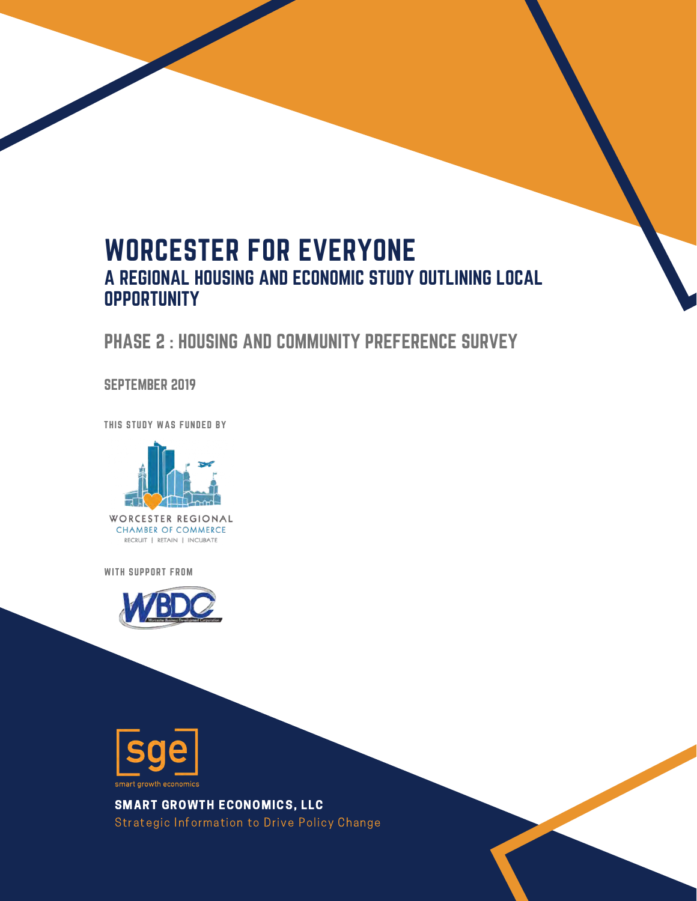# WORCESTER FOR EVERYONE A REGIONAL HOUSING AND ECONOMIC STUDY OUTLINING LOCAL **OPPORTUNITY**

### PHASE 2 : HOUSING AND COMMUNITY PREFERENCE SURVEY

#### SEPTEMBER 2019

THIS STUDY WAS FUNDED BY



WITH SUPPORT FROM





SMART GROWTH ECONOMICS, LLC Strategic Information to Drive Policy Change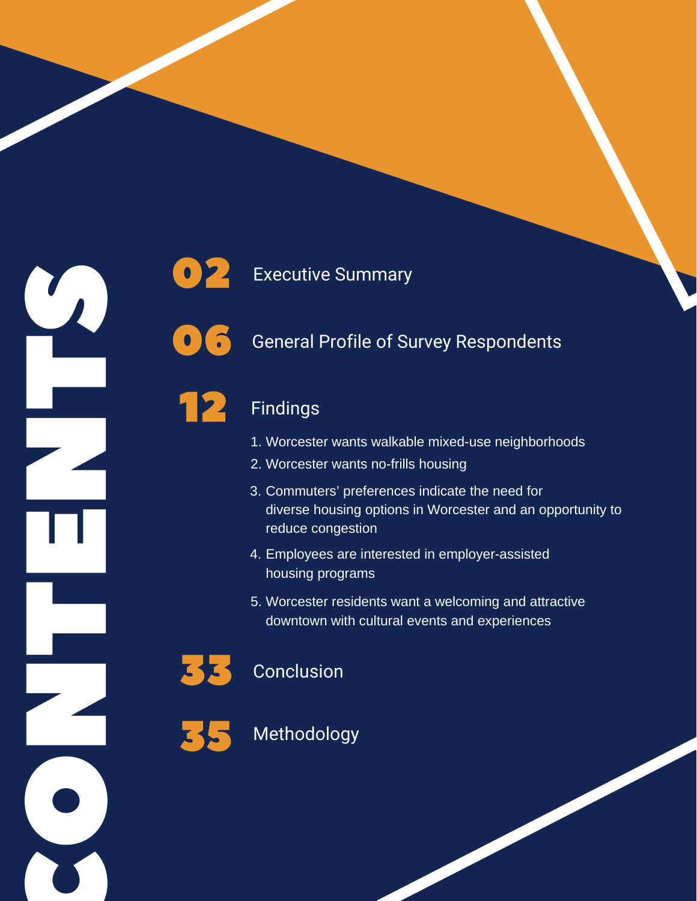



12

### 0<sup>2</sup> Executive Summary

### **0 G** General Profile of Survey Respondents

### Findings

- 1. Worcester wants walkable mixed-use neighborhoods
- 2. Worcester wants no-frills housing
- 3. Commuters' preferences indicate the need for diverse housing options in Worcester and an opportunity to reduce congestion
- 4. Employees are interested in employer-assisted housing programs
- 5. Worcester residents want a welcoming and attractive downtown with cultural events and experiences

# 33 Conclusion



### **Methodology**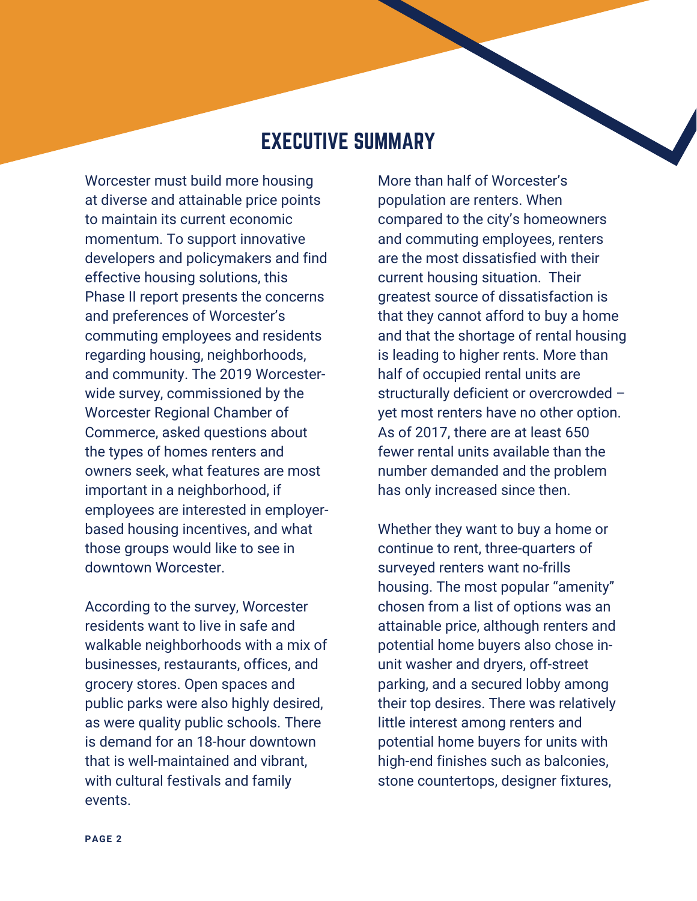### EXECUTIVE SUMMARY

Worcester must build more housing at diverse and attainable price points to maintain its current economic momentum. To support innovative developers and policymakers and find effective housing solutions, this Phase II report presents the concerns and preferences of Worcester's commuting employees and residents regarding housing, neighborhoods, and community. The 2019 Worcesterwide survey, commissioned by the Worcester Regional Chamber of Commerce, asked questions about the types of homes renters and owners seek, what features are most important in a neighborhood, if employees are interested in employerbased housing incentives, and what those groups would like to see in downtown Worcester.

According to the survey, Worcester residents want to live in safe and walkable neighborhoods with a mix of businesses, restaurants, offices, and grocery stores. Open spaces and public parks were also highly desired, as were quality public schools. There is demand for an 18-hour downtown that is well-maintained and vibrant, with cultural festivals and family events.

More than half of Worcester's population are renters. When compared to the city's homeowners and commuting employees, renters are the most dissatisfied with their current housing situation. Their greatest source of dissatisfaction is that they cannot afford to buy a home and that the shortage of rental housing is leading to higher rents. More than half of occupied rental units are structurally deficient or overcrowded – yet most renters have no other option. As of 2017, there are at least 650 fewer rental units available than the number demanded and the problem has only increased since then.

Whether they want to buy a home or continue to rent, three-quarters of surveyed renters want no-frills housing. The most popular "amenity" chosen from a list of options was an attainable price, although renters and potential home buyers also chose inunit washer and dryers, off-street parking, and a secured lobby among their top desires. There was relatively little interest among renters and potential home buyers for units with high-end finishes such as balconies, stone countertops, designer fixtures,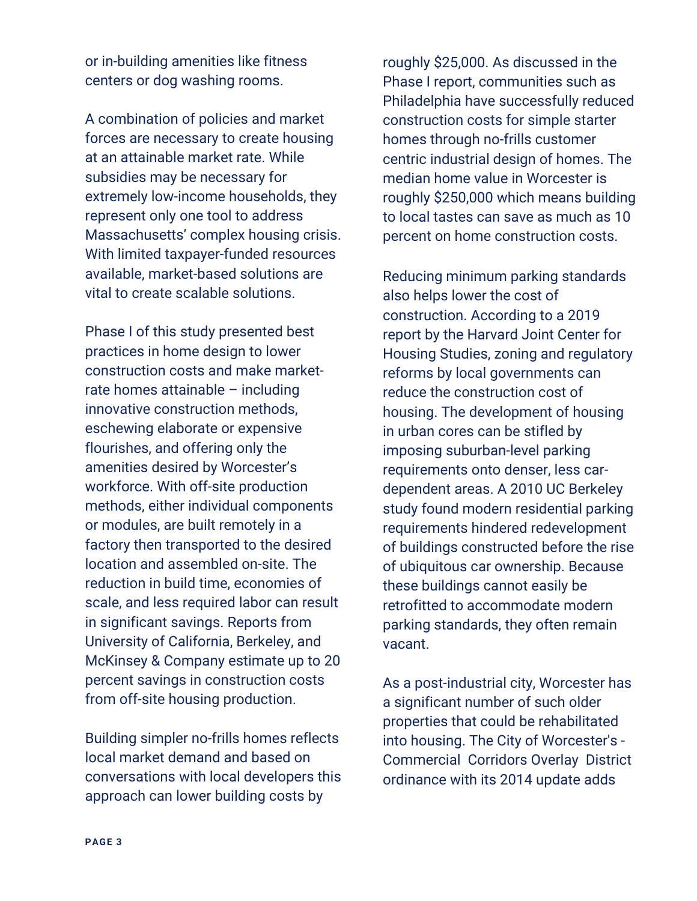or in-building amenities like fitness centers or dog washing rooms.

A combination of policies and market forces are necessary to create housing at an attainable market rate. While subsidies may be necessary for extremely low-income households, they represent only one tool to address Massachusetts' complex housing crisis. With limited taxpayer-funded resources available, market-based solutions are vital to create scalable solutions.

Phase I of this study presented best practices in home design to lower construction costs and make marketrate homes attainable – including innovative construction methods, eschewing elaborate or expensive flourishes, and offering only the amenities desired by Worcester's workforce. With off-site production methods, either individual components or modules, are built remotely in a factory then transported to the desired location and assembled on-site. The reduction in build time, economies of scale, and less required labor can result in significant savings. Reports from University of California, Berkeley, and McKinsey & Company estimate up to 20 percent savings in construction costs from off-site housing production.

Building simpler no-frills homes reflects local market demand and based on conversations with local developers this approach can lower building costs by

roughly \$25,000. As discussed in the Phase I report, communities such as Philadelphia have successfully reduced construction costs for simple starter homes through no-frills customer centric industrial design of homes. The median home value in Worcester is roughly \$250,000 which means building to local tastes can save as much as 10 percent on home construction costs.

Reducing minimum parking standards also helps lower the cost of construction. According to a 2019 report by the Harvard Joint Center for Housing Studies, zoning and regulatory reforms by local governments can reduce the construction cost of housing. The development of housing in urban cores can be stifled by imposing suburban-level parking requirements onto denser, less cardependent areas. A 2010 UC Berkeley study found modern residential parking requirements hindered redevelopment of buildings constructed before the rise of ubiquitous car ownership. Because these buildings cannot easily be retrofitted to accommodate modern parking standards, they often remain vacant.

As a post-industrial city, Worcester has a significant number of such older properties that could be rehabilitated into housing. The City of Worcester's - Commercial Corridors Overlay District ordinance with its 2014 update adds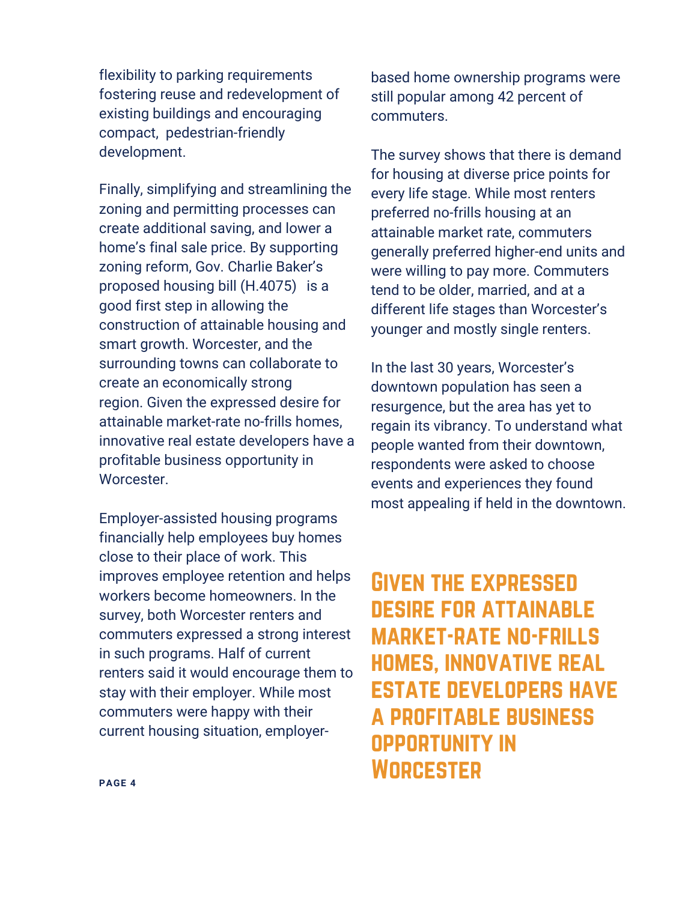flexibility to parking requirements fostering reuse and redevelopment of existing buildings and encouraging compact, pedestrian-friendly development.

Finally, simplifying and streamlining the zoning and permitting processes can create additional saving, and lower a home's final sale price. By supporting zoning reform, Gov. Charlie Baker's proposed housing bill (H.4075) is a good first step in allowing the construction of attainable housing and smart growth. Worcester, and the surrounding towns can collaborate to create an economically strong region. Given the expressed desire for attainable market-rate no-frills homes, innovative real estate developers have a profitable business opportunity in Worcester.

Employer-assisted housing programs financially help employees buy homes close to their place of work. This improves employee retention and helps workers become homeowners. In the survey, both Worcester renters and commuters expressed a strong interest in such programs. Half of current renters said it would encourage them to stay with their employer. While most commuters were happy with their current housing situation, employerbased home ownership programs were still popular among 42 percent of commuters.

The survey shows that there is demand for housing at diverse price points for every life stage. While most renters preferred no-frills housing at an attainable market rate, commuters generally preferred higher-end units and were willing to pay more. Commuters tend to be older, married, and at a different life stages than Worcester's younger and mostly single renters.

In the last 30 years, Worcester's downtown population has seen a resurgence, but the area has yet to regain its vibrancy. To understand what people wanted from their downtown, respondents were asked to choose events and experiences they found most appealing if held in the downtown.

Given the expressed desire for attainable market-rate no-frills homes, innovative real estate developers have a profitable business opportunity in **WORCESTER**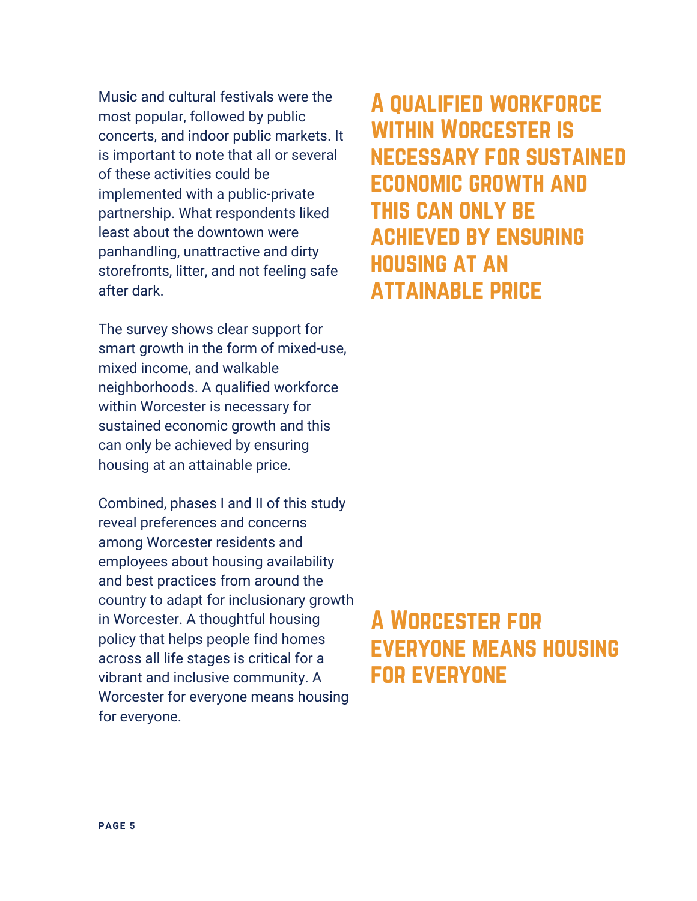Music and cultural festivals were the most popular, followed by public concerts, and indoor public markets. It is important to note that all or several of these activities could be implemented with a public-private partnership. What respondents liked least about the downtown were panhandling, unattractive and dirty storefronts, litter, and not feeling safe after dark.

The survey shows clear support for smart growth in the form of mixed-use, mixed income, and walkable neighborhoods. A qualified workforce within Worcester is necessary for sustained economic growth and this can only be achieved by ensuring housing at an attainable price.

Combined, phases I and II of this study reveal preferences and concerns among Worcester residents and employees about housing availability and best practices from around the country to adapt for inclusionary growth in Worcester. A thoughtful housing policy that helps people find homes across all life stages is critical for a vibrant and inclusive community. A Worcester for everyone means housing for everyone.

A qualified workforce WITHIN WORCESTER IS necessary for sustained economic growth and this can only be achieved by ensuring housing at an attainable price

# A Worcester for everyone means housing for everyone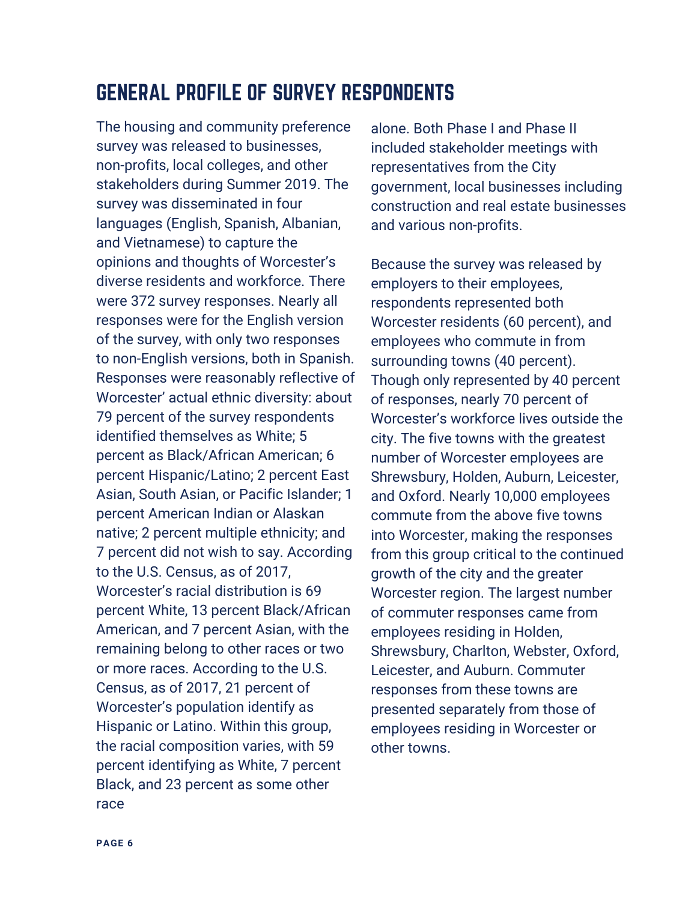# GENERAL PROFILE OF SURVEY RESPONDENTS

The housing and community preference survey was released to businesses, non-profits, local colleges, and other stakeholders during Summer 2019. The survey was disseminated in four languages (English, Spanish, Albanian, and Vietnamese) to capture the opinions and thoughts of Worcester's diverse residents and workforce. There were 372 survey responses. Nearly all responses were for the English version of the survey, with only two responses to non-English versions, both in Spanish. Responses were reasonably reflective of Worcester' actual ethnic diversity: about 79 percent of the survey respondents identified themselves as White; 5 percent as Black/African American; 6 percent Hispanic/Latino; 2 percent East Asian, South Asian, or Pacific Islander; 1 percent American Indian or Alaskan native; 2 percent multiple ethnicity; and 7 percent did not wish to say. According to the U.S. Census, as of 2017, Worcester's racial distribution is 69 percent White, 13 percent Black/African American, and 7 percent Asian, with the remaining belong to other races or two or more races. According to the U.S. Census, as of 2017, 21 percent of Worcester's population identify as Hispanic or Latino. Within this group, the racial composition varies, with 59 percent identifying as White, 7 percent Black, and 23 percent as some other race

alone. Both Phase I and Phase II included stakeholder meetings with representatives from the City government, local businesses including construction and real estate businesses and various non-profits.

Because the survey was released by employers to their employees, respondents represented both Worcester residents (60 percent), and employees who commute in from surrounding towns (40 percent). Though only represented by 40 percent of responses, nearly 70 percent of Worcester's workforce lives outside the city. The five towns with the greatest number of Worcester employees are Shrewsbury, Holden, Auburn, Leicester, and Oxford. Nearly 10,000 employees commute from the above five towns into Worcester, making the responses from this group critical to the continued growth of the city and the greater Worcester region. The largest number of commuter responses came from employees residing in Holden, Shrewsbury, Charlton, Webster, Oxford, Leicester, and Auburn. Commuter responses from these towns are presented separately from those of employees residing in Worcester or other towns.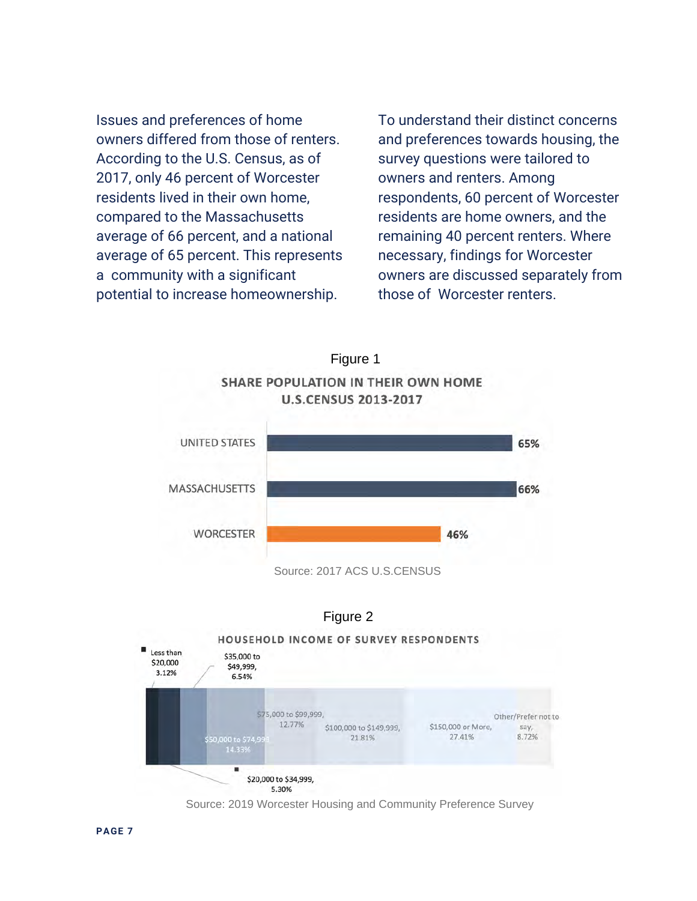Issues and preferences of home owners differed from those of renters. According to the U.S. Census, as of 2017, only 46 percent of Worcester residents lived in their own home, compared to the Massachusetts average of 66 percent, and a national average of 65 percent. This represents a community with a significant potential to increase homeownership.

To understand their distinct concerns and preferences towards housing, the survey questions were tailored to owners and renters. Among respondents, 60 percent of Worcester residents are home owners, and the remaining 40 percent renters. Where necessary, findings for Worcester owners are discussed separately from those of Worcester renters.







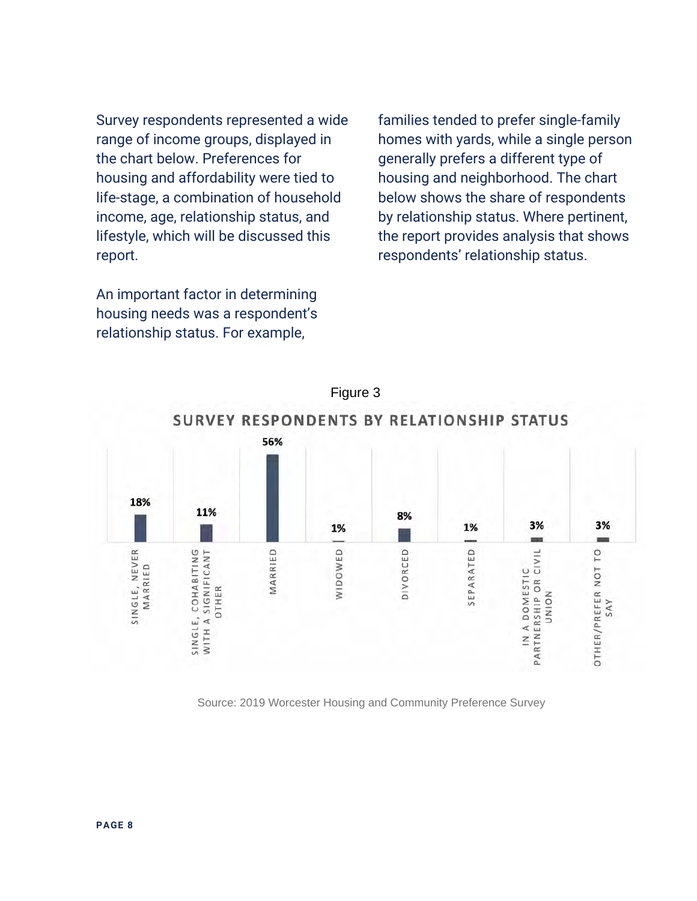Survey respondents represented a wide range of income groups, displayed in the chart below. Preferences for housing and affordability were tied to life-stage, a combination of household income, age, relationship status, and lifestyle, which will be discussed this report.

An important factor in determining housing needs was a respondent's relationship status. For example,

families tended to prefer single-family homes with yards, while a single person generally prefers a different type of housing and neighborhood. The chart below shows the share of respondents by relationship status. Where pertinent, the report provides analysis that shows respondents' relationship status.

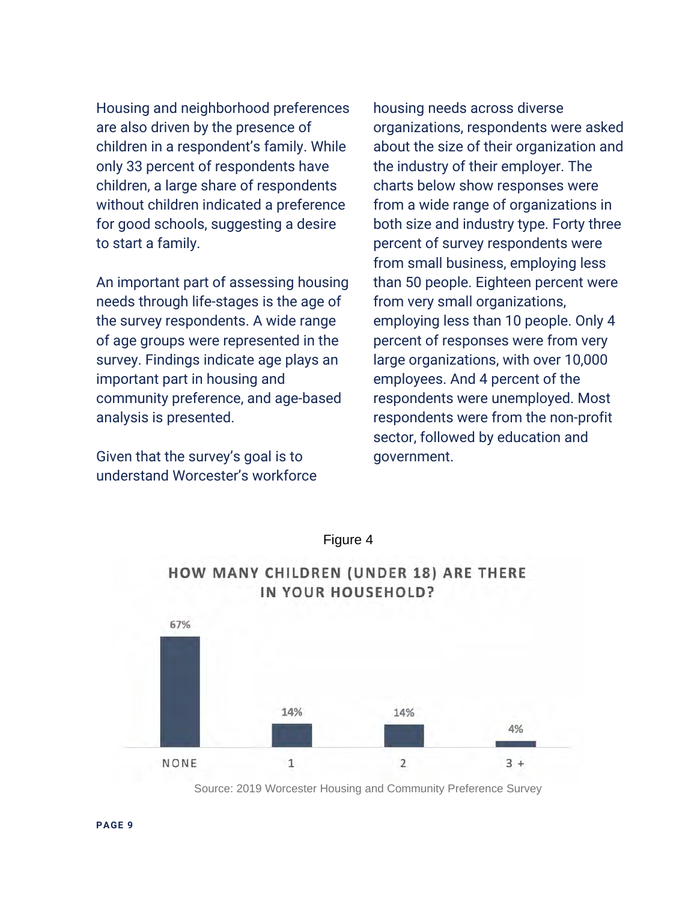Housing and neighborhood preferences are also driven by the presence of children in a respondent's family. While only 33 percent of respondents have children, a large share of respondents without children indicated a preference for good schools, suggesting a desire to start a family.

An important part of assessing housing needs through life-stages is the age of the survey respondents. A wide range of age groups were represented in the survey. Findings indicate age plays an important part in housing and community preference, and age-based analysis is presented.

Given that the survey's goal is to understand Worcester's workforce housing needs across diverse organizations, respondents were asked about the size of their organization and the industry of their employer. The charts below show responses were from a wide range of organizations in both size and industry type. Forty three percent of survey respondents were from small business, employing less than 50 people. Eighteen percent were from very small organizations, employing less than 10 people. Only 4 percent of responses were from very large organizations, with over 10,000 employees. And 4 percent of the respondents were unemployed. Most respondents were from the non-profit sector, followed by education and government.



Figure 4

Source: 2019 Worcester Housing and Community Preference Survey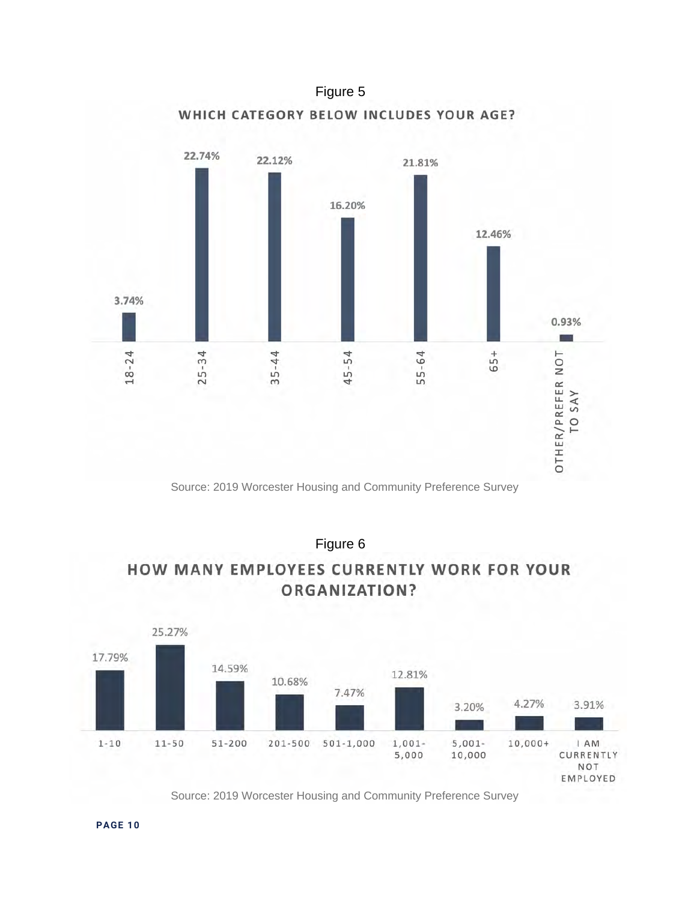

Source: 2019 Worcester Housing and Community Preference Survey

Figure 6

### **HOW MANY EMPLOYEES CURRENTLY WORK FOR YOUR** ORGANIZATION?

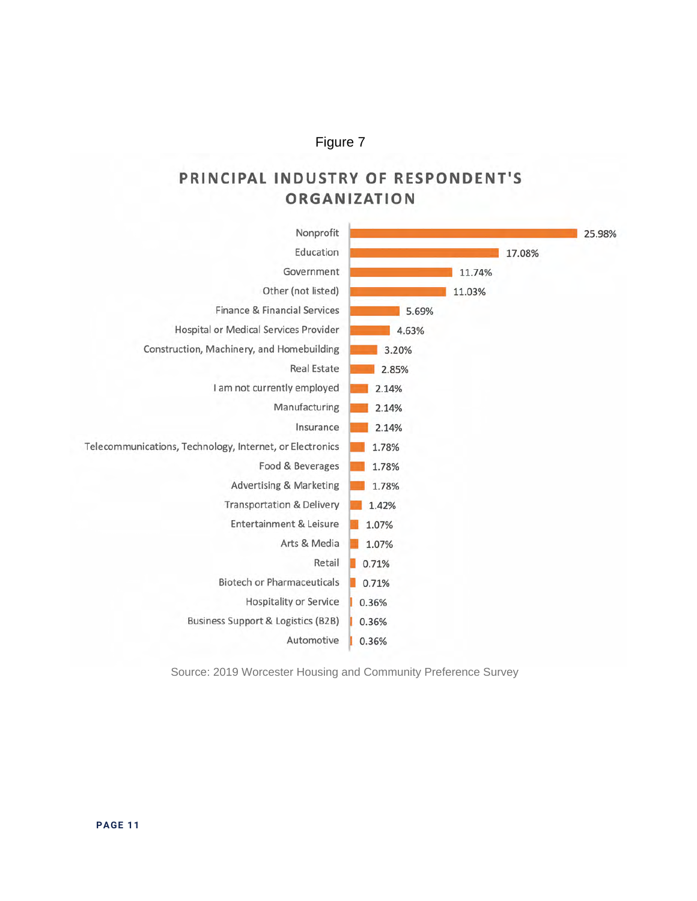### PRINCIPAL INDUSTRY OF RESPONDENT'S ORGANIZATION



Source: 2019 Worcester Housing and Community Preference Survey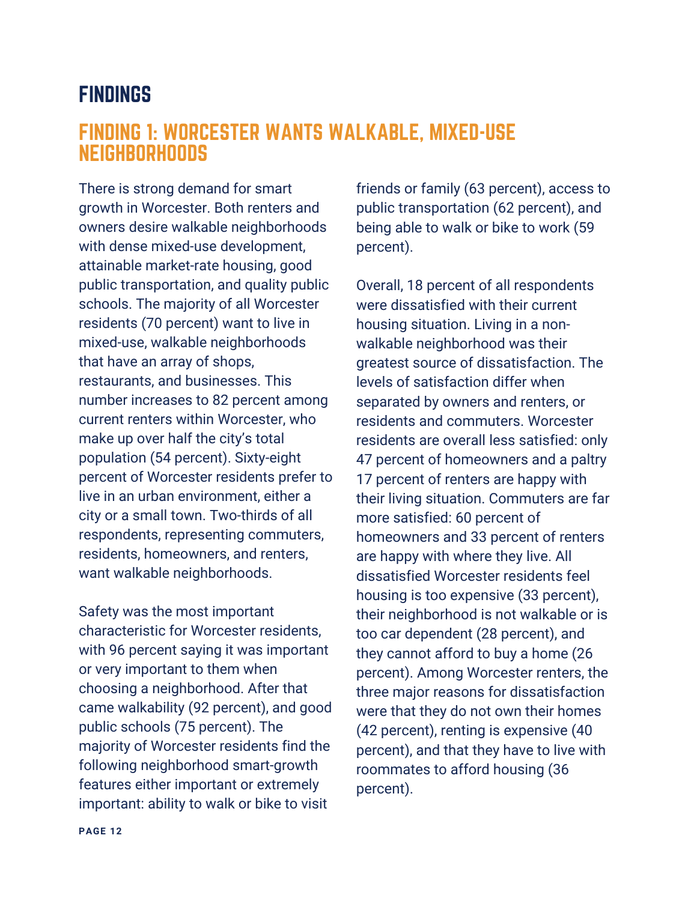### FINDINGS

### FINDING 1: WORCESTER WANTS WALKABLE, MIXED-USE NEIGHBORHOODS

There is strong demand for smart growth in Worcester. Both renters and owners desire walkable neighborhoods with dense mixed-use development, attainable market-rate housing, good public transportation, and quality public schools. The majority of all Worcester residents (70 percent) want to live in mixed-use, walkable neighborhoods that have an array of shops, restaurants, and businesses. This number increases to 82 percent among current renters within Worcester, who make up over half the city's total population (54 percent). Sixty-eight percent of Worcester residents prefer to live in an urban environment, either a city or a small town. Two-thirds of all respondents, representing commuters, residents, homeowners, and renters, want walkable neighborhoods.

Safety was the most important characteristic for Worcester residents, with 96 percent saying it was important or very important to them when choosing a neighborhood. After that came walkability (92 percent), and good public schools (75 percent). The majority of Worcester residents find the following neighborhood smart-growth features either important or extremely important: ability to walk or bike to visit

friends or family (63 percent), access to public transportation (62 percent), and being able to walk or bike to work (59 percent).

Overall, 18 percent of all respondents were dissatisfied with their current housing situation. Living in a nonwalkable neighborhood was their greatest source of dissatisfaction. The levels of satisfaction differ when separated by owners and renters, or residents and commuters. Worcester residents are overall less satisfied: only 47 percent of homeowners and a paltry 17 percent of renters are happy with their living situation. Commuters are far more satisfied: 60 percent of homeowners and 33 percent of renters are happy with where they live. All dissatisfied Worcester residents feel housing is too expensive (33 percent), their neighborhood is not walkable or is too car dependent (28 percent), and they cannot afford to buy a home (26 percent). Among Worcester renters, the three major reasons for dissatisfaction were that they do not own their homes (42 percent), renting is expensive (40 percent), and that they have to live with roommates to afford housing (36 percent).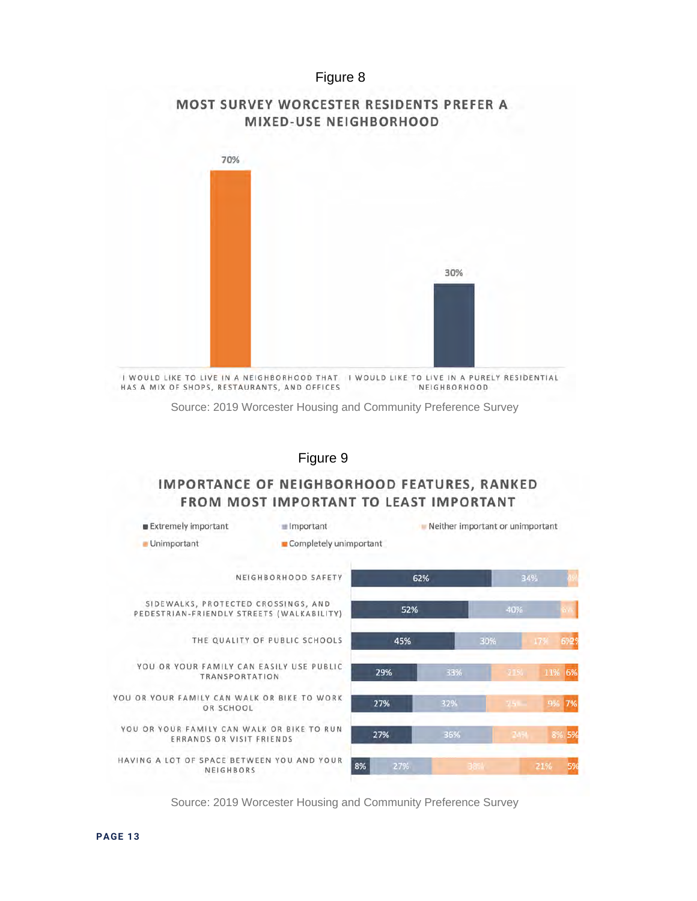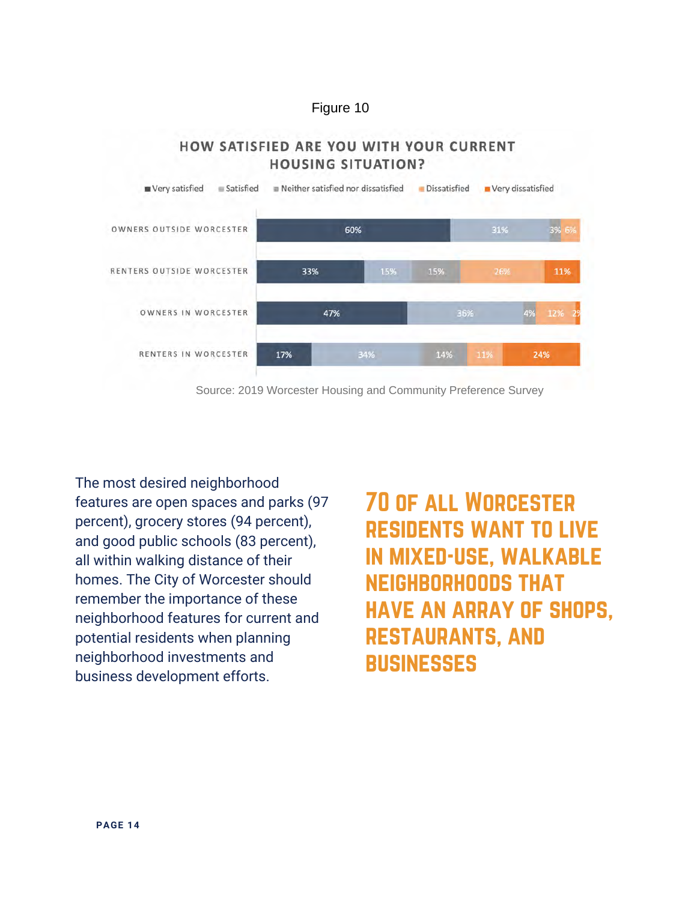HOW SATISFIED ARE YOU WITH YOUR CURRENT



The most desired neighborhood features are open spaces and parks (97 percent), grocery stores (94 percent), and good public schools (83 percent), all within walking distance of their homes. The City of Worcester should remember the importance of these neighborhood features for current and potential residents when planning neighborhood investments and business development efforts.

70 of all Worcester residents want to live in mixed-use, walkable neighborhoods that have an array of shops, restaurants, and **BUSINESSES**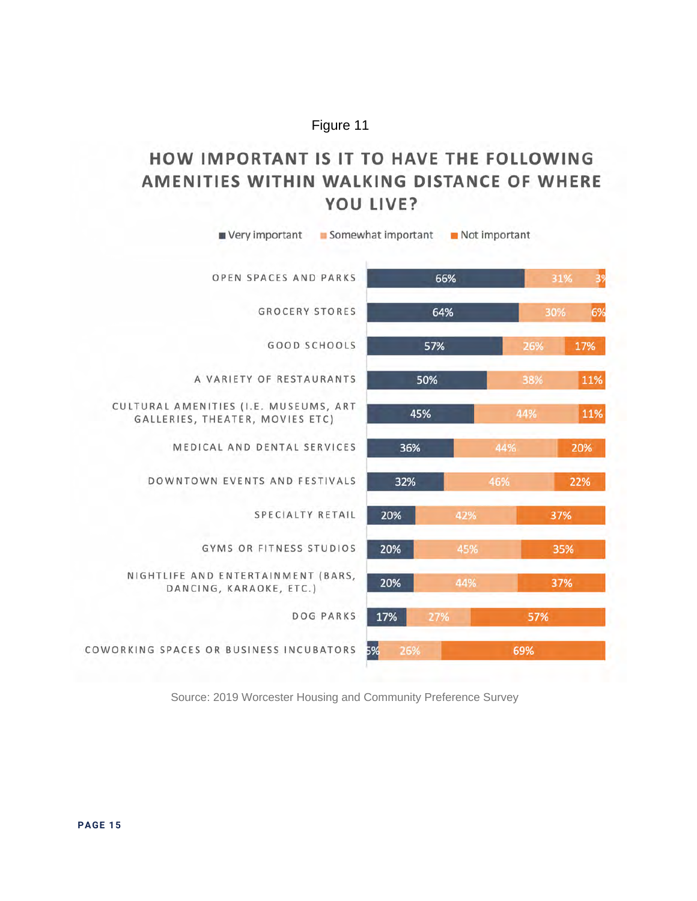### HOW IMPORTANT IS IT TO HAVE THE FOLLOWING AMENITIES WITHIN WALKING DISTANCE OF WHERE YOU LIVE?

| Very important                                                           | Somewhat important | $\blacksquare$ Not important |     |           |  |
|--------------------------------------------------------------------------|--------------------|------------------------------|-----|-----------|--|
| OPEN SPACES AND PARKS                                                    | 66%                |                              |     | 3%<br>31% |  |
| <b>GROCERY STORES</b>                                                    | 64%                |                              |     | 6%<br>30% |  |
| <b>GOOD SCHOOLS</b>                                                      | 57%                |                              | 26% | 17%       |  |
| A VARIETY OF RESTAURANTS                                                 | 50%                |                              | 38% | 11%       |  |
| CULTURAL AMENITIES (I.E. MUSEUMS, ART<br>GALLERIES, THEATER, MOVIES ETC) | 45%                |                              | 44% | 11%       |  |
| MEDICAL AND DENTAL SERVICES                                              | 36%                |                              | 44% | 20%       |  |
| DOWNTOWN EVENTS AND FESTIVALS                                            | 32%                |                              | 46% | 22%       |  |
| <b>SPECIALTY RETAIL</b>                                                  | 20%                | 42%                          |     | 37%       |  |
| GYMS OR FITNESS STUDIOS                                                  | 20%                | 45%                          |     | 35%       |  |
| NIGHTLIFE AND ENTERTAINMENT (BARS,<br>DANCING, KARAOKE, ETC.)            | 20%                | 44%                          |     | 37%       |  |
| <b>DOG PARKS</b>                                                         | 17%                | 27%                          | 57% |           |  |
| COWORKING SPACES OR BUSINESS INCUBATORS                                  | 5%<br>26%          | 69%                          |     |           |  |
|                                                                          |                    |                              |     |           |  |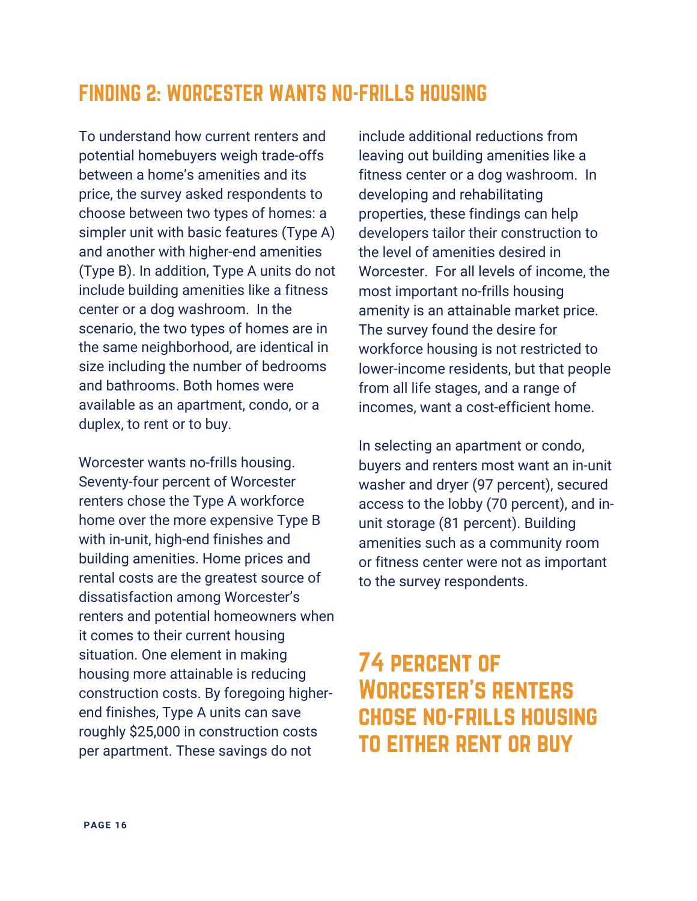## FINDING 2: WORCESTER WANTS NO-FRILLS HOUSING

To understand how current renters and potential homebuyers weigh trade-offs between a home's amenities and its price, the survey asked respondents to choose between two types of homes: a simpler unit with basic features (Type A) and another with higher-end amenities (Type B). In addition, Type A units do not include building amenities like a fitness center or a dog washroom. In the scenario, the two types of homes are in the same neighborhood, are identical in size including the number of bedrooms and bathrooms. Both homes were available as an apartment, condo, or a duplex, to rent or to buy.

Worcester wants no-frills housing. Seventy-four percent of Worcester renters chose the Type A workforce home over the more expensive Type B with in-unit, high-end finishes and building amenities. Home prices and rental costs are the greatest source of dissatisfaction among Worcester's renters and potential homeowners when it comes to their current housing situation. One element in making housing more attainable is reducing construction costs. By foregoing higherend finishes, Type A units can save roughly \$25,000 in construction costs per apartment. These savings do not

include additional reductions from leaving out building amenities like a fitness center or a dog washroom. In developing and rehabilitating properties, these findings can help developers tailor their construction to the level of amenities desired in Worcester. For all levels of income, the most important no-frills housing amenity is an attainable market price. The survey found the desire for workforce housing is not restricted to lower-income residents, but that people from all life stages, and a range of incomes, want a cost-efficient home.

In selecting an apartment or condo, buyers and renters most want an in-unit washer and dryer (97 percent), secured access to the lobby (70 percent), and inunit storage (81 percent). Building amenities such as a community room or fitness center were not as important to the survey respondents.

# 74 percent of Worcester's renters chose no-frills housing to either rent or buy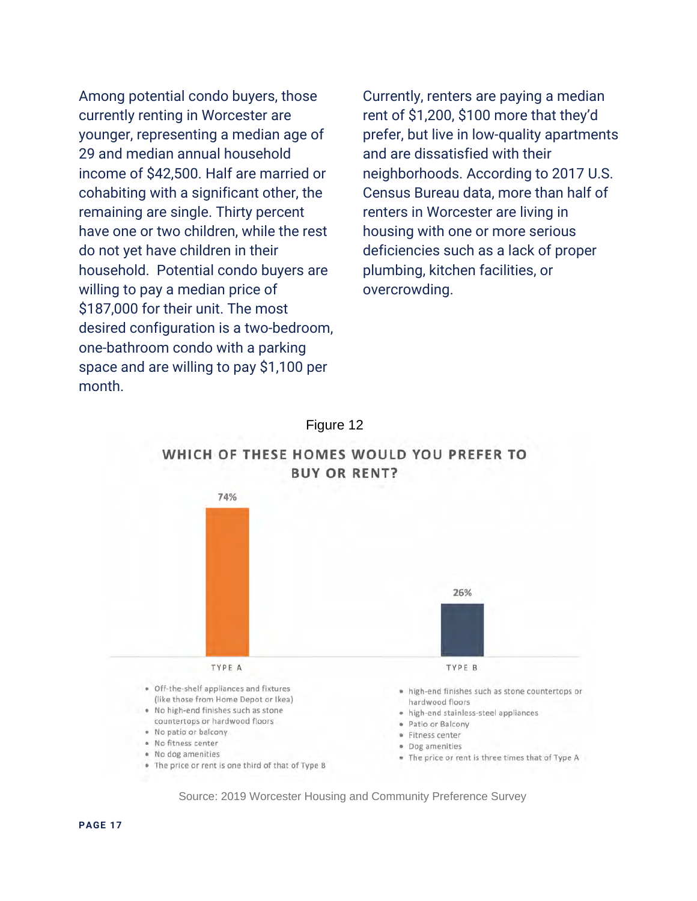Among potential condo buyers, those currently renting in Worcester are younger, representing a median age of 29 and median annual household income of \$42,500. Half are married or cohabiting with a significant other, the remaining are single. Thirty percent have one or two children, while the rest do not yet have children in their household. Potential condo buyers are willing to pay a median price of \$187,000 for their unit. The most desired configuration is a two-bedroom, one-bathroom condo with a parking space and are willing to pay \$1,100 per month.

Currently, renters are paying a median rent of \$1,200, \$100 more that they'd prefer, but live in low-quality apartments and are dissatisfied with their neighborhoods. According to 2017 U.S. Census Bureau data, more than half of renters in Worcester are living in housing with one or more serious deficiencies such as a lack of proper plumbing, kitchen facilities, or overcrowding.

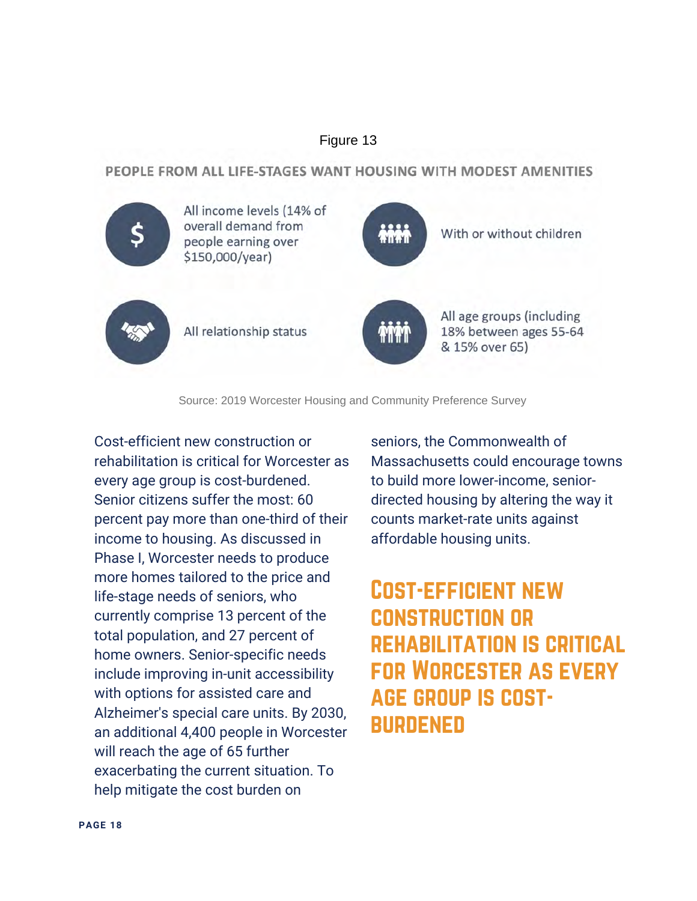PEOPLE FROM ALL LIFE-STAGES WANT HOUSING WITH MODEST AMENITIES



Source: 2019 Worcester Housing and Community Preference Survey

Cost-efficient new construction or rehabilitation is critical for Worcester as every age group is cost-burdened. Senior citizens suffer the most: 60 percent pay more than one-third of their income to housing. As discussed in Phase I, Worcester needs to produce more homes tailored to the price and life-stage needs of seniors, who currently comprise 13 percent of the total population, and 27 percent of home owners. Senior-specific needs include improving in-unit accessibility with options for assisted care and Alzheimer's special care units. By 2030, an additional 4,400 people in Worcester will reach the age of 65 further exacerbating the current situation. To help mitigate the cost burden on

seniors, the Commonwealth of Massachusetts could encourage towns to build more lower-income, seniordirected housing by altering the way it counts market-rate units against affordable housing units.

# Cost-efficient new construction or rehabilitation is critical for Worcester as every age group is cost-**BURDENED**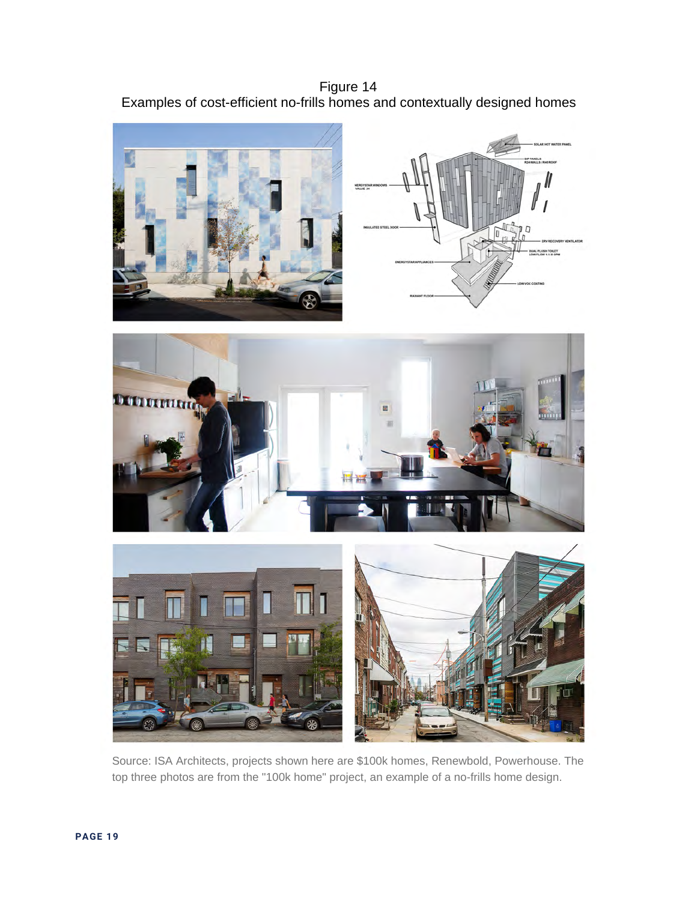Figure 14 Examples of cost-efficient no-frills homes and contextually designed homes

-<br>LOW 1.1/8 GPM





Source: ISA Architects, projects shown here are \$100k homes, Renewbold, Powerhouse. The top three photos are from the "100k home" project, an example of a no-frills home design.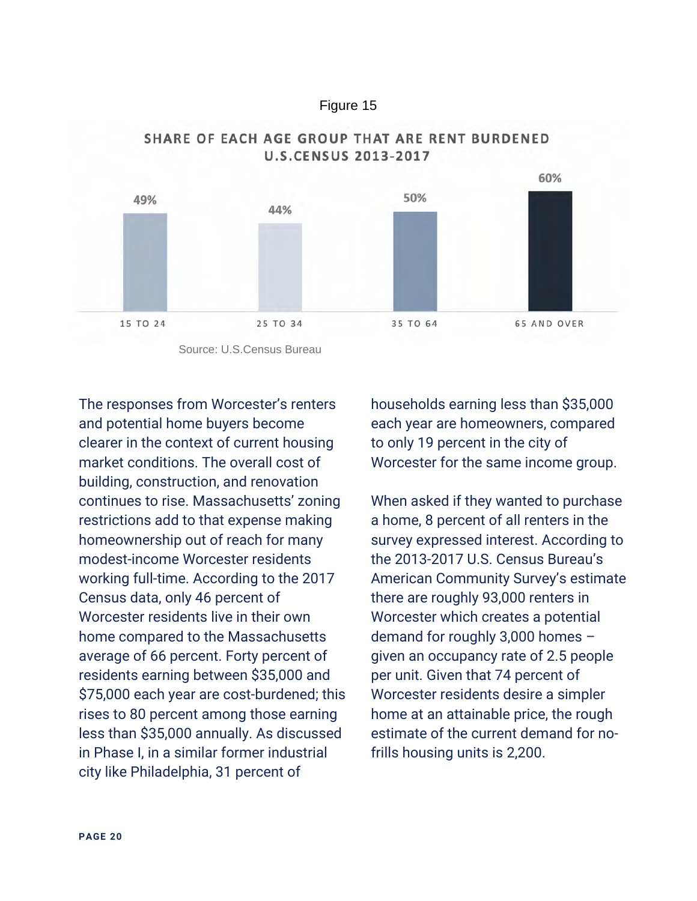



#### SHARE OF EACH AGE GROUP THAT ARE RENT BURDENED **U.S.CENSUS 2013-2017**

The responses from Worcester's renters and potential home buyers become clearer in the context of current housing market conditions. The overall cost of building, construction, and renovation continues to rise. Massachusetts' zoning restrictions add to that expense making homeownership out of reach for many modest-income Worcester residents working full-time. According to the 2017 Census data, only 46 percent of Worcester residents live in their own home compared to the Massachusetts average of 66 percent. Forty percent of residents earning between \$35,000 and \$75,000 each year are cost-burdened; this rises to 80 percent among those earning less than \$35,000 annually. As discussed in Phase I, in a similar former industrial city like Philadelphia, 31 percent of

households earning less than \$35,000 each year are homeowners, compared to only 19 percent in the city of Worcester for the same income group.

When asked if they wanted to purchase a home, 8 percent of all renters in the survey expressed interest. According to the 2013-2017 U.S. Census Bureau's American Community Survey's estimate there are roughly 93,000 renters in Worcester which creates a potential demand for roughly 3,000 homes – given an occupancy rate of 2.5 people per unit. Given that 74 percent of Worcester residents desire a simpler home at an attainable price, the rough estimate of the current demand for nofrills housing units is 2,200.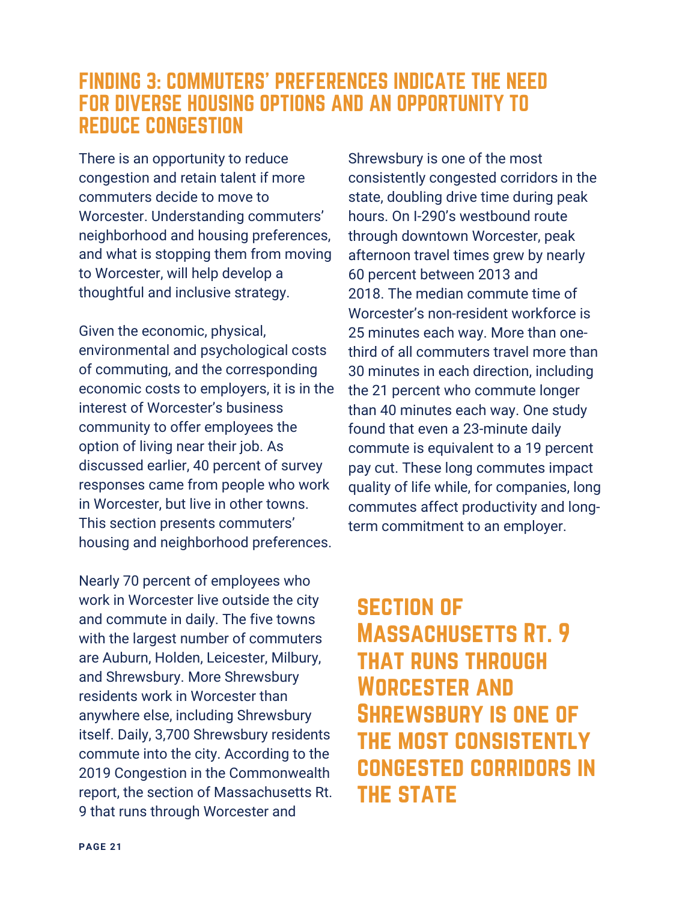### FINDING 3: COMMUTERS' PREFERENCES INDICATE THE NEED FOR DIVERSE HOUSING OPTIONS AND AN OPPORTUNITY TO REDUCE CONGESTION

There is an opportunity to reduce congestion and retain talent if more commuters decide to move to Worcester. Understanding commuters' neighborhood and housing preferences, and what is stopping them from moving to Worcester, will help develop a thoughtful and inclusive strategy.

Given the economic, physical, environmental and psychological costs of commuting, and the corresponding economic costs to employers, it is in the interest of Worcester's business community to offer employees the option of living near their job. As discussed earlier, 40 percent of survey responses came from people who work in Worcester, but live in other towns. This section presents commuters' housing and neighborhood preferences.

Nearly 70 percent of employees who work in Worcester live outside the city and commute in daily. The five towns with the largest number of commuters are Auburn, Holden, Leicester, Milbury, and Shrewsbury. More Shrewsbury residents work in Worcester than anywhere else, including Shrewsbury itself. Daily, 3,700 Shrewsbury residents commute into the city. According to the 2019 Congestion in the Commonwealth report, the section of Massachusetts Rt. 9 that runs through Worcester and

Shrewsbury is one of the most consistently congested corridors in the state, doubling drive time during peak hours. On I-290's westbound route through downtown Worcester, peak afternoon travel times grew by nearly 60 percent between 2013 and 2018. The median commute time of Worcester's non-resident workforce is 25 minutes each way. More than onethird of all commuters travel more than 30 minutes in each direction, including the 21 percent who commute longer than 40 minutes each way. One study found that even a 23-minute daily commute is equivalent to a 19 percent pay cut. These long commutes impact quality of life while, for companies, long commutes affect productivity and longterm commitment to an employer.

# section of Massachusetts Rt. 9 that runs through Worcester and Shrewsbury is one of the most consistently congested corridors in **THE STATE**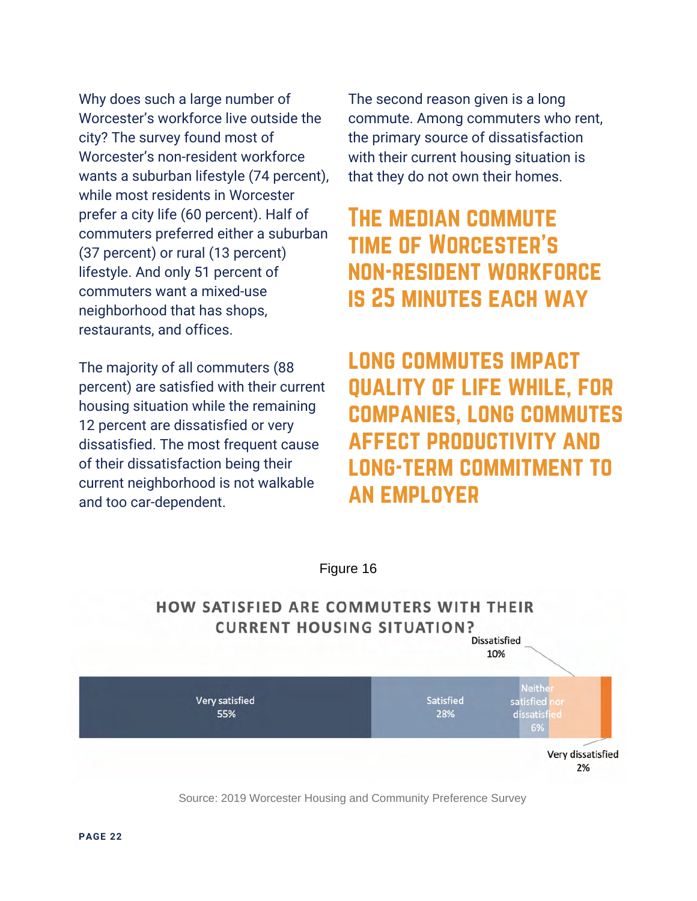Why does such a large number of Worcester's workforce live outside the city? The survey found most of Worcester's non-resident workforce wants a suburban lifestyle (74 percent), while most residents in Worcester prefer a city life (60 percent). Half of commuters preferred either a suburban (37 percent) or rural (13 percent) lifestyle. And only 51 percent of commuters want a mixed-use neighborhood that has shops, restaurants, and offices.

The majority of all commuters (88 percent) are satisfied with their current housing situation while the remaining 12 percent are dissatisfied or very dissatisfied. The most frequent cause of their dissatisfaction being their current neighborhood is not walkable and too car-dependent.

The second reason given is a long commute. Among commuters who rent, the primary source of dissatisfaction with their current housing situation is that they do not own their homes.

# The median commute time of Worcester's non-resident workforce is 25 minutes each way

long commutes impact quality of life while, for companies, long commutes affect productivity and long-term commitment to an employer

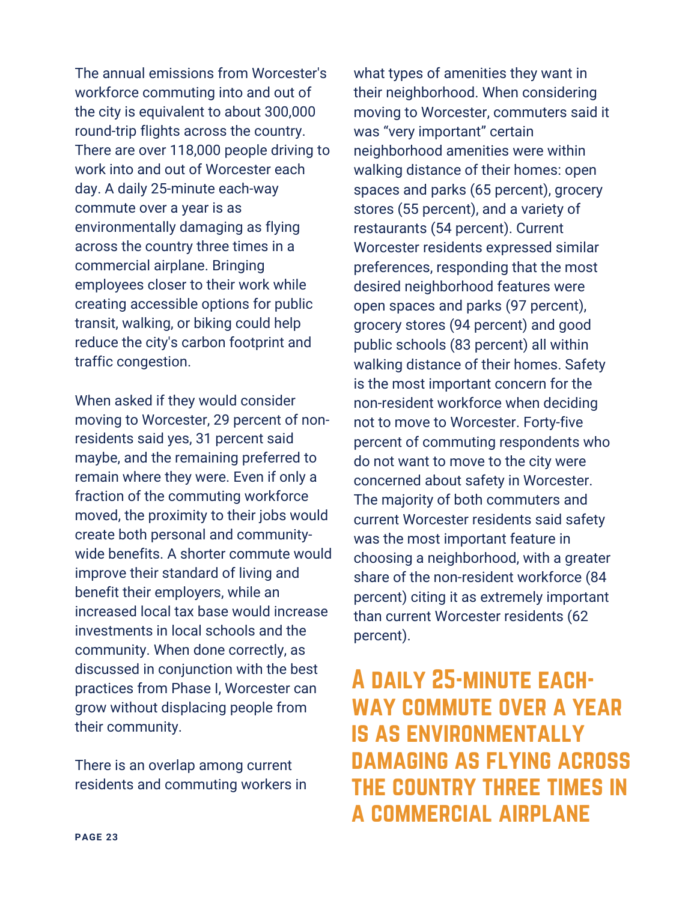The annual emissions from Worcester's workforce commuting into and out of the city is equivalent to about 300,000 round-trip flights across the country. There are over 118,000 people driving to work into and out of Worcester each day. A daily 25-minute each-way commute over a year is as environmentally damaging as flying across the country three times in a commercial airplane. Bringing employees closer to their work while creating accessible options for public transit, walking, or biking could help reduce the city's carbon footprint and traffic congestion.

When asked if they would consider moving to Worcester, 29 percent of nonresidents said yes, 31 percent said maybe, and the remaining preferred to remain where they were. Even if only a fraction of the commuting workforce moved, the proximity to their jobs would create both personal and communitywide benefits. A shorter commute would improve their standard of living and benefit their employers, while an increased local tax base would increase investments in local schools and the community. When done correctly, as discussed in conjunction with the best practices from Phase I, Worcester can grow without displacing people from their community.

There is an overlap among current residents and commuting workers in what types of amenities they want in their neighborhood. When considering moving to Worcester, commuters said it was "very important" certain neighborhood amenities were within walking distance of their homes: open spaces and parks (65 percent), grocery stores (55 percent), and a variety of restaurants (54 percent). Current Worcester residents expressed similar preferences, responding that the most desired neighborhood features were open spaces and parks (97 percent), grocery stores (94 percent) and good public schools (83 percent) all within walking distance of their homes. Safety is the most important concern for the non-resident workforce when deciding not to move to Worcester. Forty-five percent of commuting respondents who do not want to move to the city were concerned about safety in Worcester. The majority of both commuters and current Worcester residents said safety was the most important feature in choosing a neighborhood, with a greater share of the non-resident workforce (84 percent) citing it as extremely important than current Worcester residents (62 percent).

# A daily 25-minute eachway commute over a year is as environmentally damaging as flying across the country three times in a commercial airplane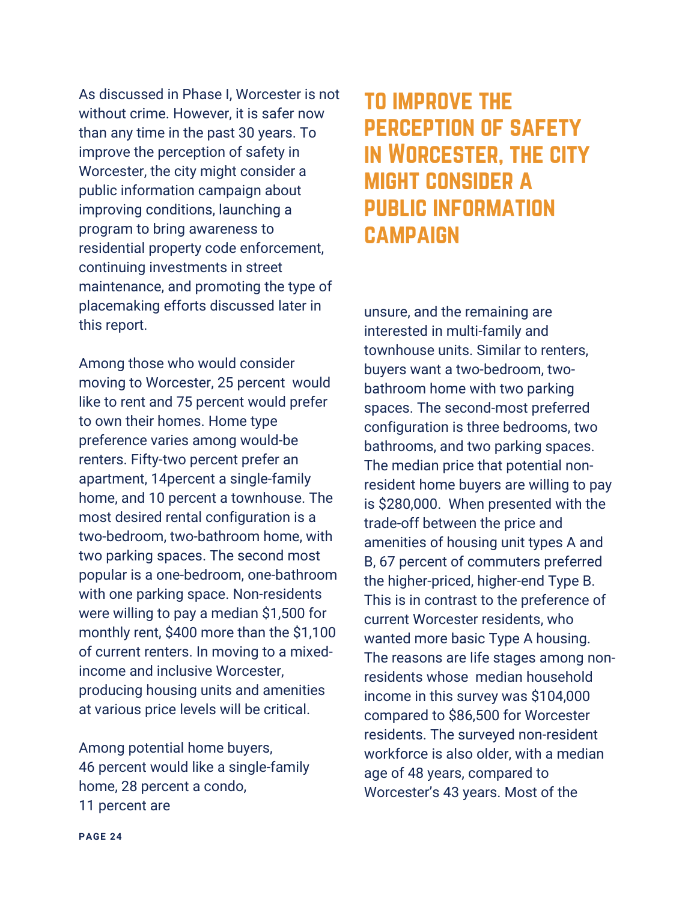As discussed in Phase I, Worcester is not without crime. However, it is safer now than any time in the past 30 years. To improve the perception of safety in Worcester, the city might consider a public information campaign about improving conditions, launching a program to bring awareness to residential property code enforcement, continuing investments in street maintenance, and promoting the type of placemaking efforts discussed later in this report.

Among those who would consider moving to Worcester, 25 percent would like to rent and 75 percent would prefer to own their homes. Home type preference varies among would-be renters. Fifty-two percent prefer an apartment, 14percent a single-family home, and 10 percent a townhouse. The most desired rental configuration is a two-bedroom, two-bathroom home, with two parking spaces. The second most popular is a one-bedroom, one-bathroom with one parking space. Non-residents were willing to pay a median \$1,500 for monthly rent, \$400 more than the \$1,100 of current renters. In moving to a mixedincome and inclusive Worcester, producing housing units and amenities at various price levels will be critical.

Among potential home buyers, 46 percent would like a single-family home, 28 percent a condo, 11 percent are

# to improve the perception of safety in Worcester, the city might consider a public information **CAMPAIGN**

unsure, and the remaining are interested in multi-family and townhouse units. Similar to renters, buyers want a two-bedroom, twobathroom home with two parking spaces. The second-most preferred configuration is three bedrooms, two bathrooms, and two parking spaces. The median price that potential nonresident home buyers are willing to pay is \$280,000. When presented with the trade-off between the price and amenities of housing unit types A and B, 67 percent of commuters preferred the higher-priced, higher-end Type B. This is in contrast to the preference of current Worcester residents, who wanted more basic Type A housing. The reasons are life stages among nonresidents whose median household income in this survey was \$104,000 compared to \$86,500 for Worcester residents. The surveyed non-resident workforce is also older, with a median age of 48 years, compared to Worcester's 43 years. Most of the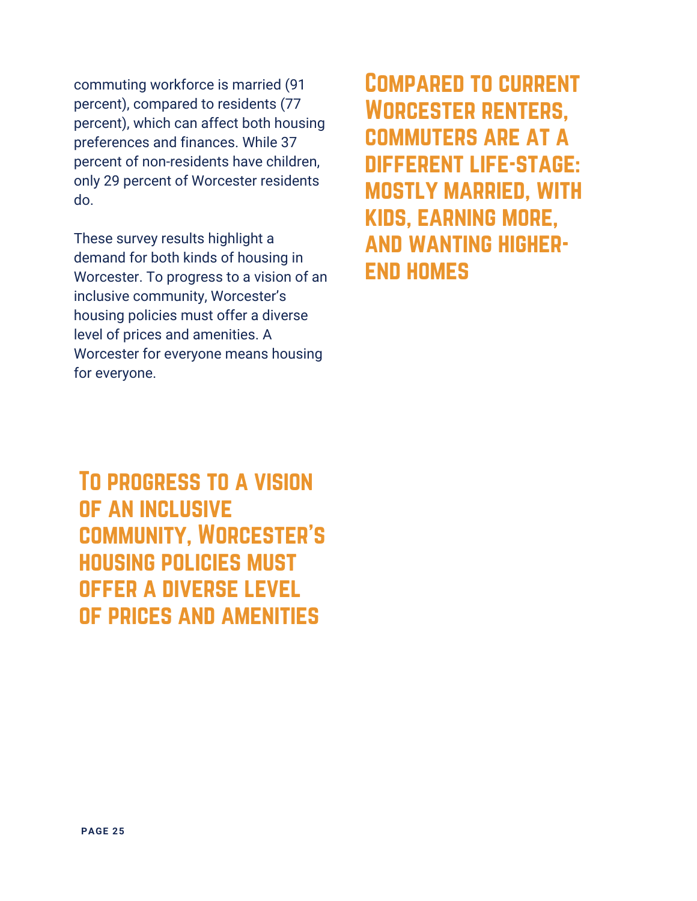commuting workforce is married (91 percent), compared to residents (77 percent), which can affect both housing preferences and finances. While 37 percent of non-residents have children, only 29 percent of Worcester residents do.

These survey results highlight a demand for both kinds of housing in Worcester. To progress to a vision of an inclusive community, Worcester's housing policies must offer a diverse level of prices and amenities. A Worcester for everyone means housing for everyone.

To progress to a vision of an inclusive community, Worcester's housing policies must offer a diverse level of prices and amenities

Compared to current Worcester renters, commuters are at a different life-stage: mostly married, with kids, earning more, and wanting higherend homes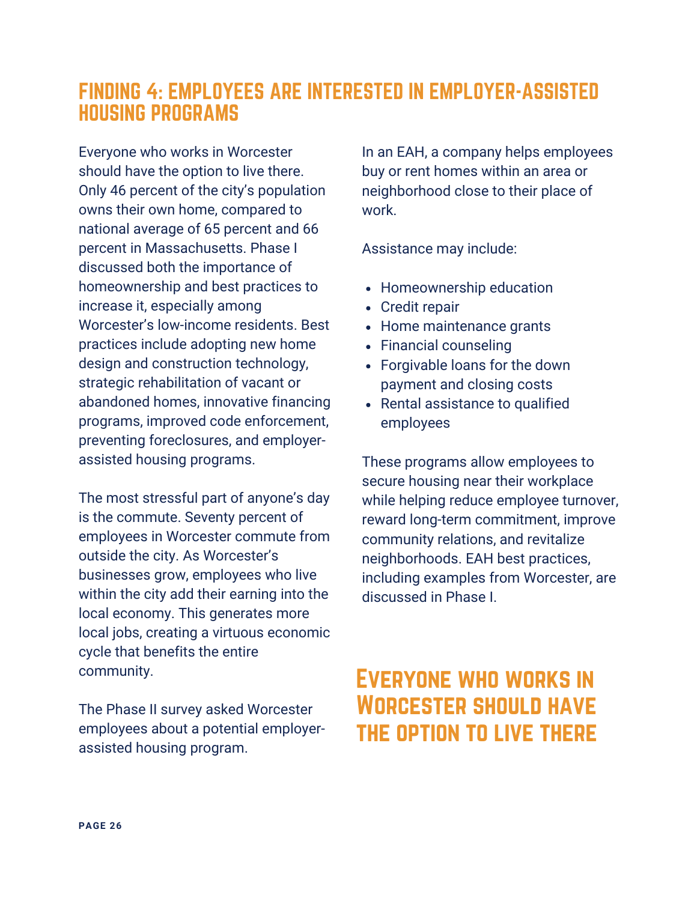### FINDING 4: EMPLOYEES ARE INTERESTED IN EMPLOYER-ASSISTED HOUSING PROGRAMS

Everyone who works in Worcester should have the option to live there. Only 46 percent of the city's population owns their own home, compared to national average of 65 percent and 66 percent in Massachusetts. Phase I discussed both the importance of homeownership and best practices to increase it, especially among Worcester's low-income residents. Best practices include adopting new home design and construction technology, strategic rehabilitation of vacant or abandoned homes, innovative financing programs, improved code enforcement, preventing foreclosures, and employerassisted housing programs.

The most stressful part of anyone's day is the commute. Seventy percent of employees in Worcester commute from outside the city. As Worcester's businesses grow, employees who live within the city add their earning into the local economy. This generates more local jobs, creating a virtuous economic cycle that benefits the entire community.

The Phase II survey asked Worcester employees about a potential employerassisted housing program.

In an EAH, a company helps employees buy or rent homes within an area or neighborhood close to their place of work.

Assistance may include:

- Homeownership education
- Credit repair
- Home maintenance grants
- Financial counseling
- Forgivable loans for the down payment and closing costs
- Rental assistance to qualified employees

These programs allow employees to secure housing near their workplace while helping reduce employee turnover, reward long-term commitment, improve community relations, and revitalize neighborhoods. EAH best practices, including examples from Worcester, are discussed in Phase I.

# Everyone who works in Worcester should have the option to live there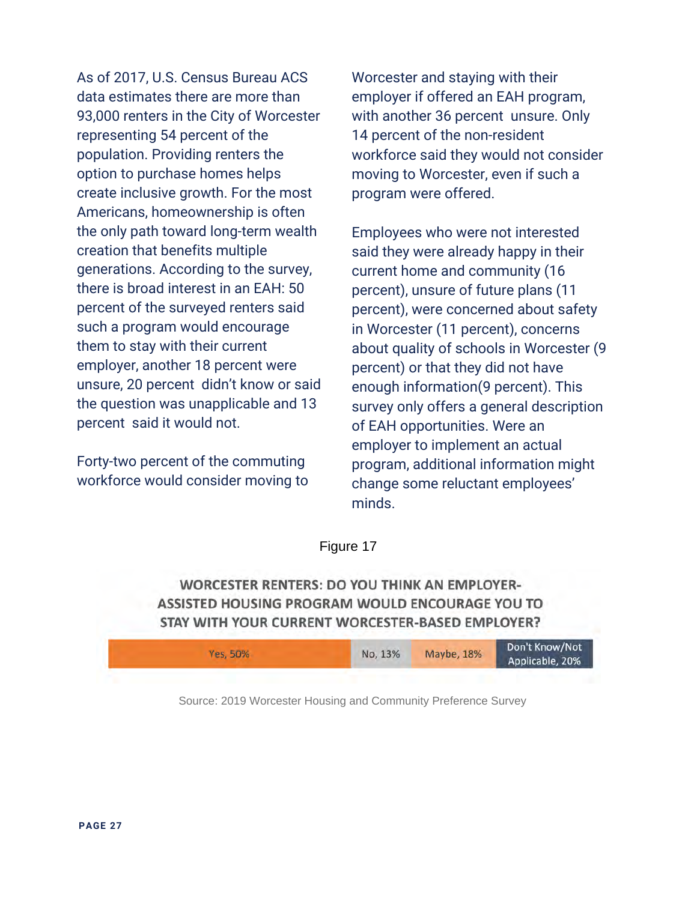As of 2017, U.S. Census Bureau ACS data estimates there are more than 93,000 renters in the City of Worcester representing 54 percent of the population. Providing renters the option to purchase homes helps create inclusive growth. For the most Americans, homeownership is often the only path toward long-term wealth creation that benefits multiple generations. According to the survey, there is broad interest in an EAH: 50 percent of the surveyed renters said such a program would encourage them to stay with their current employer, another 18 percent were unsure, 20 percent didn't know or said the question was unapplicable and 13 percent said it would not.

Forty-two percent of the commuting workforce would consider moving to Worcester and staying with their employer if offered an EAH program, with another 36 percent unsure. Only 14 percent of the non-resident workforce said they would not consider moving to Worcester, even if such a program were offered.

Employees who were not interested said they were already happy in their current home and community (16 percent), unsure of future plans (11 percent), were concerned about safety in Worcester (11 percent), concerns about quality of schools in Worcester (9 percent) or that they did not have enough information(9 percent). This survey only offers a general description of EAH opportunities. Were an employer to implement an actual program, additional information might change some reluctant employees' minds.

Figure 17

**WORCESTER RENTERS: DO YOU THINK AN EMPLOYER-**ASSISTED HOUSING PROGRAM WOULD ENCOURAGE YOU TO STAY WITH YOUR CURRENT WORCESTER-BASED EMPLOYER?

| <b>Yes, 50%</b> | No. 13% | Maybe, 18% | Don't Know/Not<br>Applicable, 20% |
|-----------------|---------|------------|-----------------------------------|
|                 |         |            |                                   |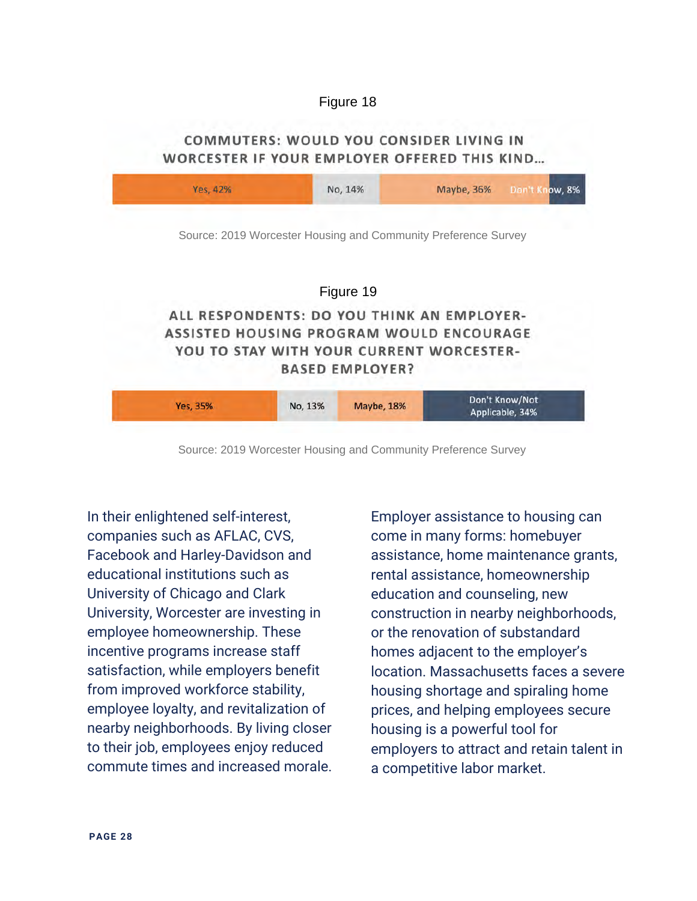#### COMMUTERS: WOULD YOU CONSIDER LIVING IN WORCESTER IF YOUR EMPLOYER OFFERED THIS KIND...



Source: 2019 Worcester Housing and Community Preference Survey

In their enlightened self-interest, companies such as AFLAC, CVS, Facebook and Harley-Davidson and educational institutions such as University of Chicago and Clark University, Worcester are investing in employee homeownership. These incentive programs increase staff satisfaction, while employers benefit from improved workforce stability, employee loyalty, and revitalization of nearby neighborhoods. By living closer to their job, employees enjoy reduced commute times and increased morale. Employer assistance to housing can come in many forms: homebuyer assistance, home maintenance grants, rental assistance, homeownership education and counseling, new construction in nearby neighborhoods, or the renovation of substandard homes adjacent to the employer's location. Massachusetts faces a severe housing shortage and spiraling home prices, and helping employees secure housing is a powerful tool for employers to attract and retain talent in a competitive labor market.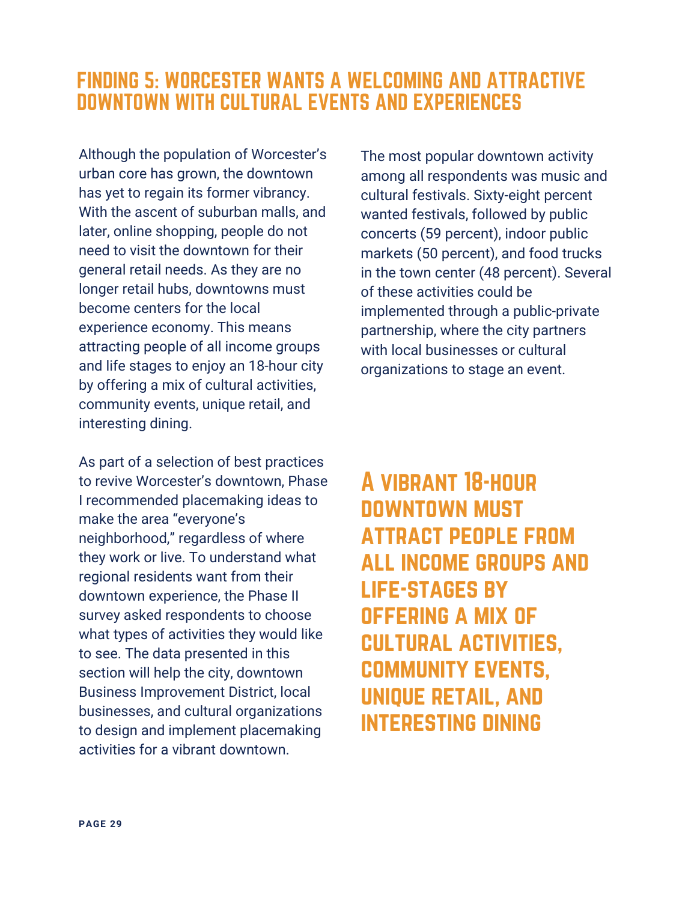### FINDING 5: WORCESTER WANTS A WELCOMING AND ATTRACTIVE DOWNTOWN WITH CULTURAL EVENTS AND EXPERIENCES

Although the population of Worcester's urban core has grown, the downtown has yet to regain its former vibrancy. With the ascent of suburban malls, and later, online shopping, people do not need to visit the downtown for their general retail needs. As they are no longer retail hubs, downtowns must become centers for the local experience economy. This means attracting people of all income groups and life stages to enjoy an 18-hour city by offering a mix of cultural activities, community events, unique retail, and interesting dining.

As part of a selection of best practices to revive Worcester's downtown, Phase I recommended placemaking ideas to make the area "everyone's neighborhood," regardless of where they work or live. To understand what regional residents want from their downtown experience, the Phase II survey asked respondents to choose what types of activities they would like to see. The data presented in this section will help the city, downtown Business Improvement District, local businesses, and cultural organizations to design and implement placemaking activities for a vibrant downtown.

The most popular downtown activity among all respondents was music and cultural festivals. Sixty-eight percent wanted festivals, followed by public concerts (59 percent), indoor public markets (50 percent), and food trucks in the town center (48 percent). Several of these activities could be implemented through a public-private partnership, where the city partners with local businesses or cultural organizations to stage an event.

# A vibrant 18-hour downtown must attract people from all income groups and life-stages by offering a mix of cultural activities, community events, unique retail, and interesting dining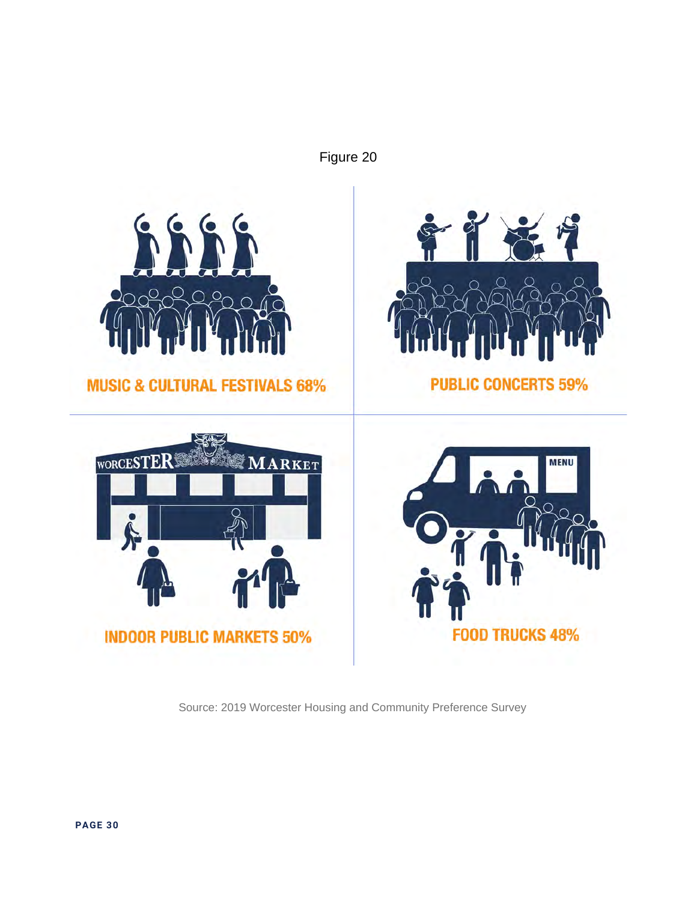

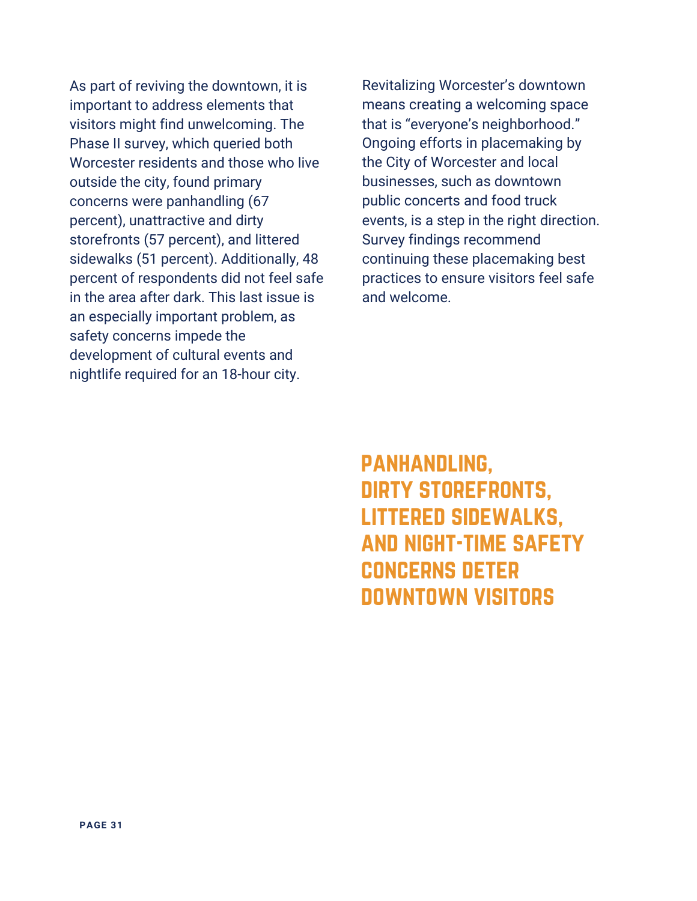As part of reviving the downtown, it is important to address elements that visitors might find unwelcoming. The Phase II survey, which queried both Worcester residents and those who live outside the city, found primary concerns were panhandling (67 percent), unattractive and dirty storefronts (57 percent), and littered sidewalks (51 percent). Additionally, 48 percent of respondents did not feel safe in the area after dark. This last issue is an especially important problem, as safety concerns impede the development of cultural events and nightlife required for an 18-hour city.

Revitalizing Worcester's downtown means creating a welcoming space that is "everyone's neighborhood." Ongoing efforts in placemaking by the City of Worcester and local businesses, such as downtown public concerts and food truck events, is a step in the right direction. Survey findings recommend continuing these placemaking best practices to ensure visitors feel safe and welcome.

panhandling, dirty storefronts, littered sidewalks, and night-time safety concerns deter downtown visitors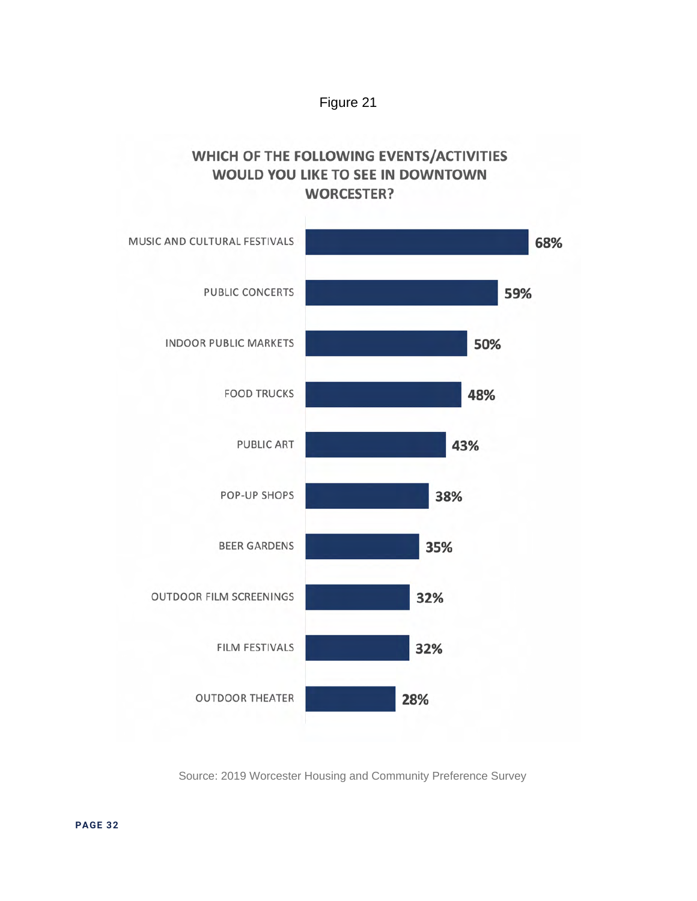

#### WHICH OF THE FOLLOWING EVENTS/ACTIVITIES WOULD YOU LIKE TO SEE IN DOWNTOWN **WORCESTER?**

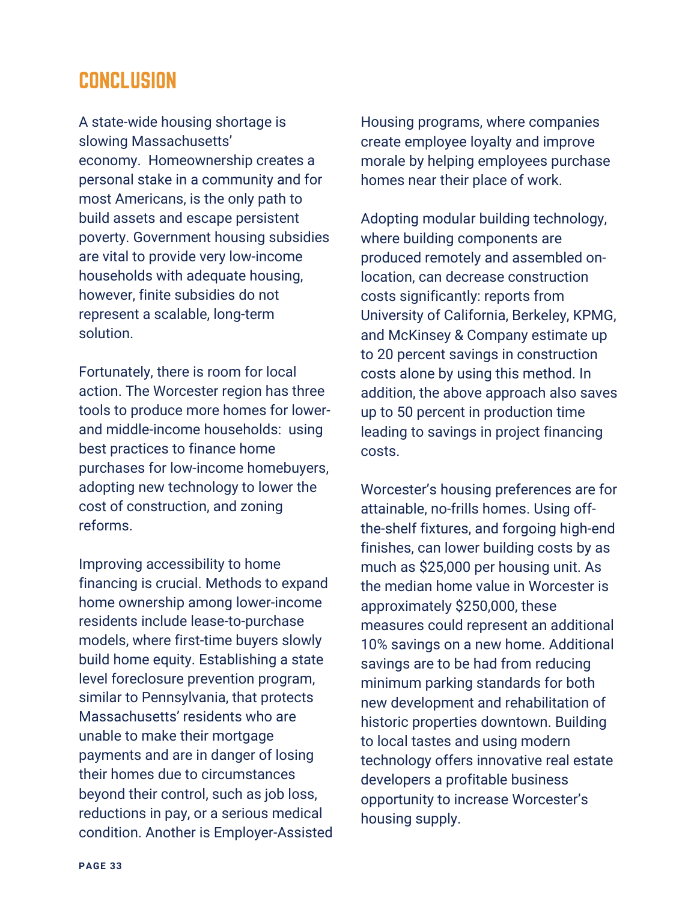### **CONCLUSION**

A state-wide housing shortage is slowing Massachusetts' economy. Homeownership creates a personal stake in a community and for most Americans, is the only path to build assets and escape persistent poverty. Government housing subsidies are vital to provide very low-income households with adequate housing, however, finite subsidies do not represent a scalable, long-term solution.

Fortunately, there is room for local action. The Worcester region has three tools to produce more homes for lowerand middle-income households: using best practices to finance home purchases for low-income homebuyers, adopting new technology to lower the cost of construction, and zoning reforms.

Improving accessibility to home financing is crucial. Methods to expand home ownership among lower-income residents include lease-to-purchase models, where first-time buyers slowly build home equity. Establishing a state level foreclosure prevention program, similar to Pennsylvania, that protects Massachusetts' residents who are unable to make their mortgage payments and are in danger of losing their homes due to circumstances beyond their control, such as job loss, reductions in pay, or a serious medical condition. Another is Employer-Assisted

Housing programs, where companies create employee loyalty and improve morale by helping employees purchase homes near their place of work.

Adopting modular building technology, where building components are produced remotely and assembled onlocation, can decrease construction costs significantly: reports from University of California, Berkeley, KPMG, and McKinsey & Company estimate up to 20 percent savings in construction costs alone by using this method. In addition, the above approach also saves up to 50 percent in production time leading to savings in project financing costs.

Worcester's housing preferences are for attainable, no-frills homes. Using offthe-shelf fixtures, and forgoing high-end finishes, can lower building costs by as much as \$25,000 per housing unit. As the median home value in Worcester is approximately \$250,000, these measures could represent an additional 10% savings on a new home. Additional savings are to be had from reducing minimum parking standards for both new development and rehabilitation of historic properties downtown. Building to local tastes and using modern technology offers innovative real estate developers a profitable business opportunity to increase Worcester's housing supply.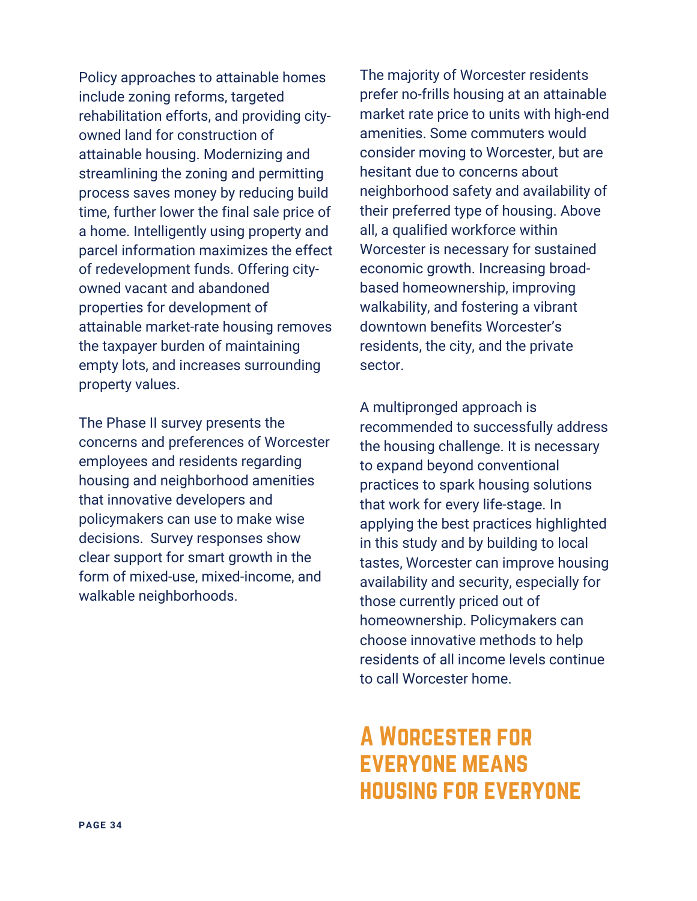Policy approaches to attainable homes include zoning reforms, targeted rehabilitation efforts, and providing cityowned land for construction of attainable housing. Modernizing and streamlining the zoning and permitting process saves money by reducing build time, further lower the final sale price of a home. Intelligently using property and parcel information maximizes the effect of redevelopment funds. Offering cityowned vacant and abandoned properties for development of attainable market-rate housing removes the taxpayer burden of maintaining empty lots, and increases surrounding property values.

The Phase II survey presents the concerns and preferences of Worcester employees and residents regarding housing and neighborhood amenities that innovative developers and policymakers can use to make wise decisions. Survey responses show clear support for smart growth in the form of mixed-use, mixed-income, and walkable neighborhoods.

The majority of Worcester residents prefer no-frills housing at an attainable market rate price to units with high-end amenities. Some commuters would consider moving to Worcester, but are hesitant due to concerns about neighborhood safety and availability of their preferred type of housing. Above all, a qualified workforce within Worcester is necessary for sustained economic growth. Increasing broadbased homeownership, improving walkability, and fostering a vibrant downtown benefits Worcester's residents, the city, and the private sector.

A multipronged approach is recommended to successfully address the housing challenge. It is necessary to expand beyond conventional practices to spark housing solutions that work for every life-stage. In applying the best practices highlighted in this study and by building to local tastes, Worcester can improve housing availability and security, especially for those currently priced out of homeownership. Policymakers can choose innovative methods to help residents of all income levels continue to call Worcester home.

# A Worcester for everyone means housing for everyone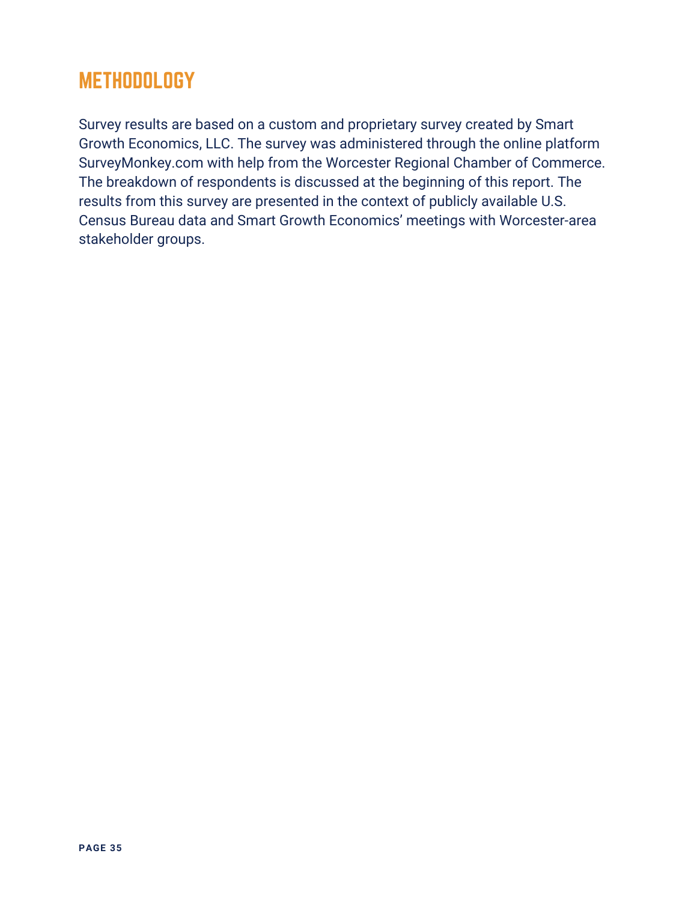# **METHODOLOGY**

Survey results are based on a custom and proprietary survey created by Smart Growth Economics, LLC. The survey was administered through the online platform SurveyMonkey.com with help from the Worcester Regional Chamber of Commerce. The breakdown of respondents is discussed at the beginning of this report. The results from this survey are presented in the context of publicly available U.S. Census Bureau data and Smart Growth Economics' meetings with Worcester-area stakeholder groups.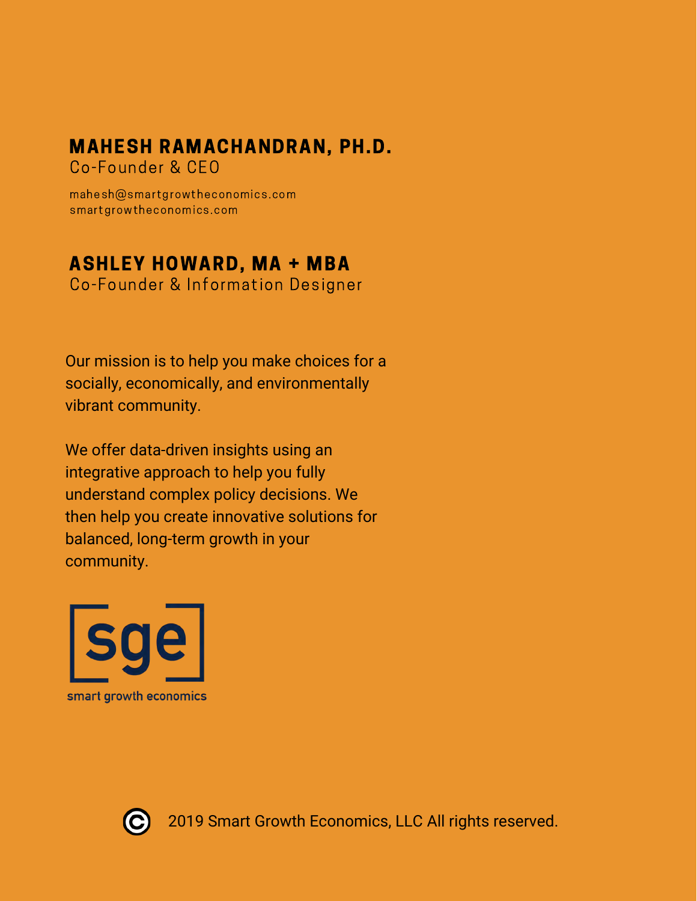# MAHESH RAMACHANDRAN, PH.D.

Co-Founder & CEO

mahesh@smartgrowtheconomics.com smartgrowtheconomics.com

### ASHLEY HOWARD, MA + MBA

Co-Founder & Information Designer

Our mission is to help you make choices for a socially, economically, and environmentally vibrant community.

We offer data-driven insights using an integrative approach to help you fully understand complex policy decisions. We then help you create innovative solutions for balanced, long-term growth in your community.





2019 Smart Growth Economics, LLC All rights reserved.